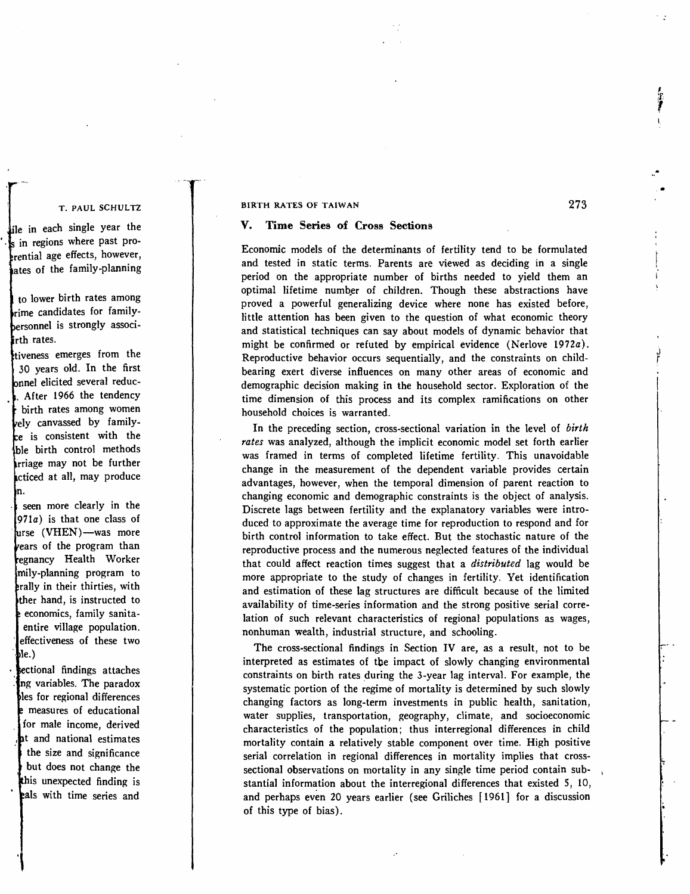# V. Time Series of Cross Sections

Economic models of the determinants of fertility tend to be formulated and tested in static terms. Parents are viewed as deciding in a single period on the appropriate number of births needed to yield them an optimal lifetime number of children. Though these abstractions have proved a powerful generalizing device where none has existed before, little attention has been given to the question of what economic theory and statistical techniques can say about models of dynamic behavior that might be confirmed or refuted by empirical evidence (Nerlove 1972a). Reproductive behavior occurs sequentially, and the constraints on childbearing exert diverse influences on many other areas of economic and demographic decision making in the household sector. Exploration of the time dimension of this process and its complex ramifications on other household choices is warranted.

BIRTI<br>
W.<br>
Econe and<br>
period optim<br>
prove little<br>
and s migh<br>
migh Repre<br>
bearii demo<br>
time houss<br>
In rates<br>
was chang<br>
adval<br>
chang adval<br>
chang<br>
Discr<br>
duce<br>
birth repro<br>
that more<br>
and exail:<br>
lation<br>
more and exail:<br>
l In the preceding section, cross-sectional variation in the level of birth rates was analyzed, although the implicit economic model set forth earlier was framed in terms of completed lifetime fertility. This unavoidable change in the measurement of the dependent variable provides certain advantages, however, when the temporal dimension of parent reaction to changing economic and demographic constraints is the object of analysis. Discrete lags between fertility and the explanatory variables were introduced to approximate the average time for reproduction to respond and for birth control information to take effect. But the stochastic nature of the reproductive process and the numerous neglected features of the individual that could affect reaction times suggest that a *distributed* lag would be more appropriate to the study of changes in fertility. Yet identification and estimation of these lag structures are difficult because of the limited availability of time-series information and the strong positive serial correlation of such relevant characteristics of regional populations as wages, nonhuman wealth, industrial structure, and schooling. 273<br>
OFTRI RATES OF TAIWAN<br>
273<br>
273<br>
Comonic models of the determinants of feedility tend to be formulated<br>
comonic models of the determinants are viewed as deciding in a single<br>
christial on the appropriate umber of birt

The cross-sectional findings in Section IV are, as a result, not to be interpreted as estimates of tbe impact of slowly changing environmental constraints on birth rates during the 3-year lag interval. For example, the systematic portion of the regime of mortality is determined by such slowly changing factors as long-term investments in public health, sanitation, water supplies, transportation, geography, climate, and socioeconomic characteristics of the population; thus interregional differences in child mortality contain a relatively stable component over time. High positive serial correlation in regional differences in mortality implies that crosssectional observations on mortality in any single time period contain substantial information about the interregional differences that existed 5, 10, and perhaps even 20 years earlier (see Griliches [1961] for a discussion

 $\cdot$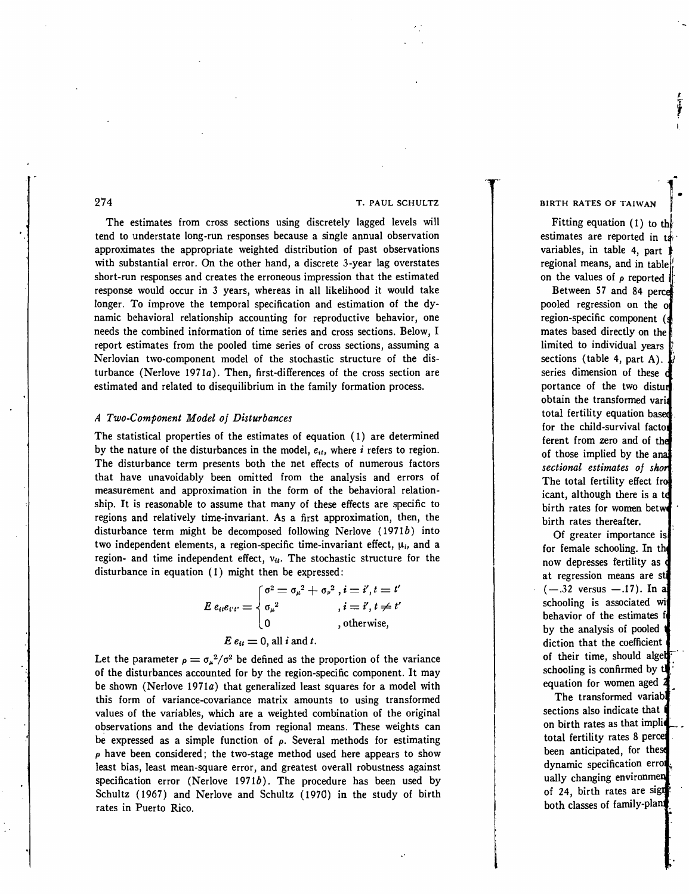$\epsilon^{\prime}$ 

The estimates from cross sections using discretely lagged levels will tend to understate long-run responses because a single annual observation approximates the appropriate weighted distribution of past observations with substantial error. On the other hand, a discrete 3-year lag overstates short-run responses and creates the erroneous impression that the estimated response would occur in 3 years, whereas in all likelihood it would take longer. To improve the temporal specification and estimation of the dynamic behavioral relationship accounting for reproductive behavior, one needs the combined information of time series and cross sections. Below, I report estimates from the pooled time series of cross sections, assuming a Nerlovian two-component model of the stochastic structure of the disturbance (Nerlove 1971a). Then, first-differences of the cross section are estimated and related to disequilibrium in the family formation process.

### Two-Component Model of Disturbances

The statistical properties of the estimates of equation (1) are determined by the nature of the disturbances in the model,  $e_{it}$ , where i refers to region. The disturbance term presents both the net effects of numerous factors that have unavoidably been omitted from the analysis and errors of measurement and approximation in the form of the behavioral relationship. It is reasonable to assume that many of these effects are specific to regions and relatively time-invariant. As a first approximation, then, the disturbance term might be decomposed following Nerlove (1971b) into two independent elements, a region-specific time-invariant effect,  $\mu_i$ , and a region- and time independent effect,  $v_{it}$ . The stochastic structure for the disturbance in equation (1) might then be expressed:

$$
E e_{ii}e_{i'i'} = \begin{cases} \sigma^2 = \sigma_\mu{}^2 + \sigma_\nu{}^2, i = i', t = t' \\ \sigma_\mu{}^2, \qquad i = i', t \neq t' \\ 0, \qquad \qquad , \text{otherwise,} \end{cases}
$$

 $E e_{it} = 0$ , all *i* and *t*.

Let the parameter  $\rho = \sigma_{\mu}^2/\sigma^2$  be defined as the proportion of the variance of the disturbances accounted for by the region-specific component. It may be shown (Nerlove 1971a) that generalized least squares for a model with this form of variance-covariance matrix amounts to using transformed values of the variables, which are a weighted combination of the original observations and the deviations from regional means. These weights can be expressed as a simple function of  $\rho$ . Several methods for estimating  $\rho$  have been considered; the two-stage method used here appears to show least bias, least mean-square error, and greatest overall robustness against specification error (Nerlove 1971 $b$ ). The procedure has been used by Schultz (1967) and Nerlove and Schultz (1970) in the study of birth rates in Puerto Rico.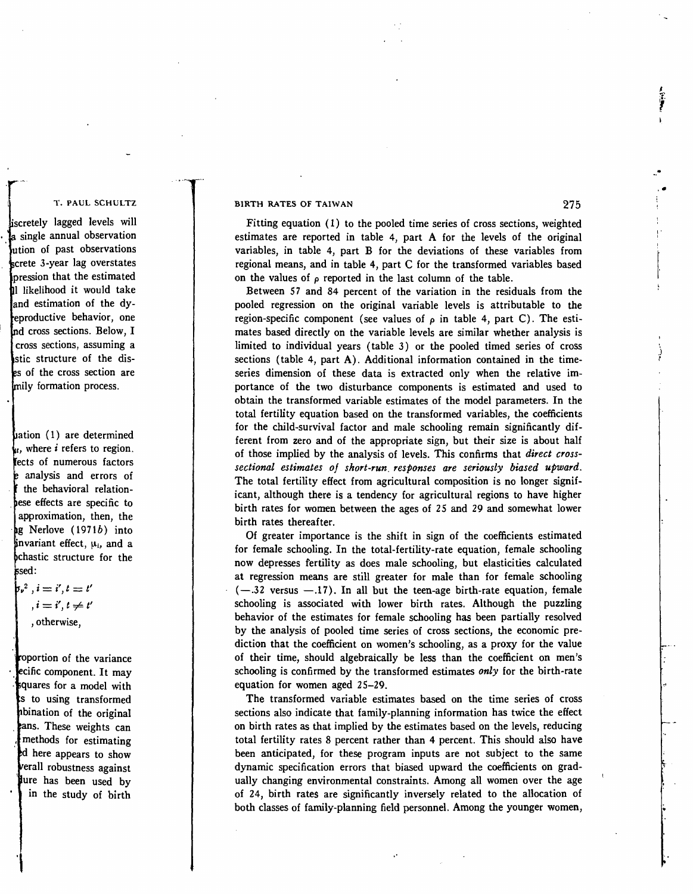BIRTH RATES OF TAIWAN<br>
Fitting equation (1) to the pooled time series of cross sections, weighted<br>
cotimates are sported in table 4, part A for the layels of the existent estimates are reported in table 4, part A for the levels of the original variables, in table 4, part B for the deviations of these variables from regional means, and in table 4, part C for the transformed variables based on the values of  $\rho$  reported in the last column of the table.

Between 57 and 84 percent of the variation in the residuals from the pooled regression on the original variable levels is attributable to the region-specific component (see values of  $\rho$  in table 4, part C). The estimates based directly on the variable levels are similar whether analysis is limited to individual years (table 3) or the pooled timed series of cross sections (table 4, part A). Additional information contained in the timeseries dimension of these data is extracted only when the relative importance of the two disturbance components is estimated and used to obtain the transformed variable estimates of the model parameters. In the total fertility equation based on the transformed variables, the coefficients for the child-survival factor and male schooling remain significantly different from zero and of the appropriate sign, but their size is about half of those implied by the analysis of levels. This confirms that direct crosssectional estimates of short-run, responses are seriously biased upward. The total fertility effect from agricultural composition is no longer significant, although there is a tendency for agricultural regions to have higher birth rates for women between the ages of 25 and 29 and somewhat lower birth rates thereafter. BORTH BATES OF TAUWAY 273<br>
Fitting equation (1) to the pooled time series of cross sections, weighted<br>
Estimates are esported in table 4, part A for the deviation of these scations (when<br>
terimates, in table 4, part C for

Of greater importance is the shift in sign of the coefficients estimated for female schooling. In the total-fertility-rate equation, female schooling now depresses fertility as does male schooling, but elasticities calculated at regression means are still greater for male than for female schooling  $(-.32 \text{ versus } -.17)$ . In all but the teen-age birth-rate equation, female schooling is associated with lower birth rates. Although the puzzling behavior of the estimates for female schooling has been partially resolved by the analysis of pooled time series of cross sections, the economic prediction that the coefficient on women's schooling, as a proxy for the value of their time, should algebraically be less than the coefficient on men's schooling is confirmed by the transformed estimates only for the birth-rate equation for women aged 25—29.

The transformed variable estimates based on the time series of cross sections also indicate that family-planning information has twice the effect on birth rates as that implied by the estimates based on the levels, reducing total fertility rates 8 percent rather than 4 percent. This should also have been anticipated, for these program inputs are not subject to the same dynamic specification errors that biased upward the coefficients on gradually changing environmental constraints. Among all women over the age of 24, birth rates are significantly inversely related to the allocation of

 $\cdot$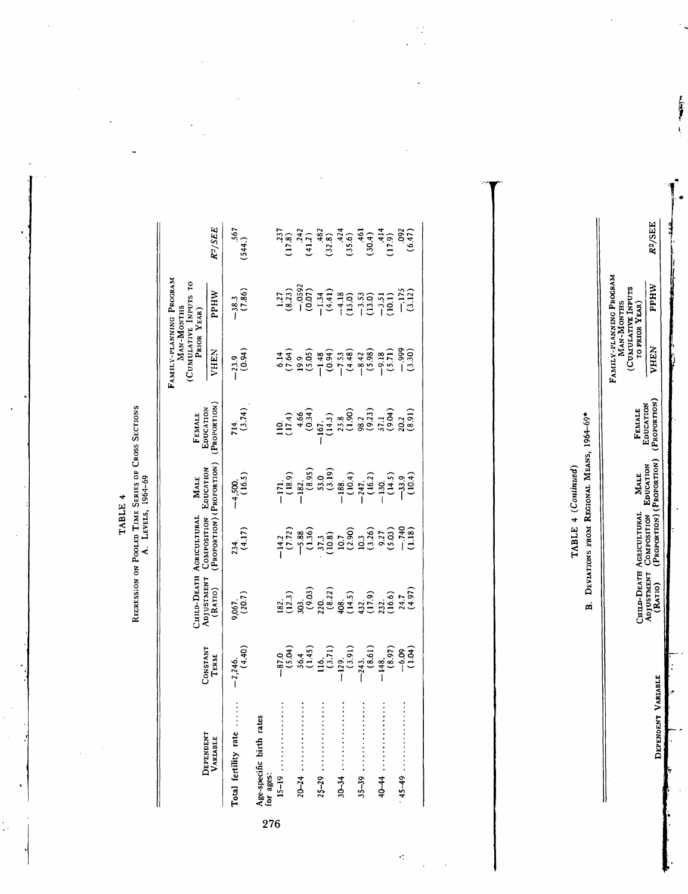$\ddot{\phantom{1}}$ 

# TABLE 4. RECRESSION ON POOLED TIME SERIES OF CROSS SECTIONS RECRESSION ON POOLED TIME SERIES OF CROSS SECTIONS

 $\ddot{\phantom{0}}$ 

l.

276

 $\frac{1}{2}$ 

l,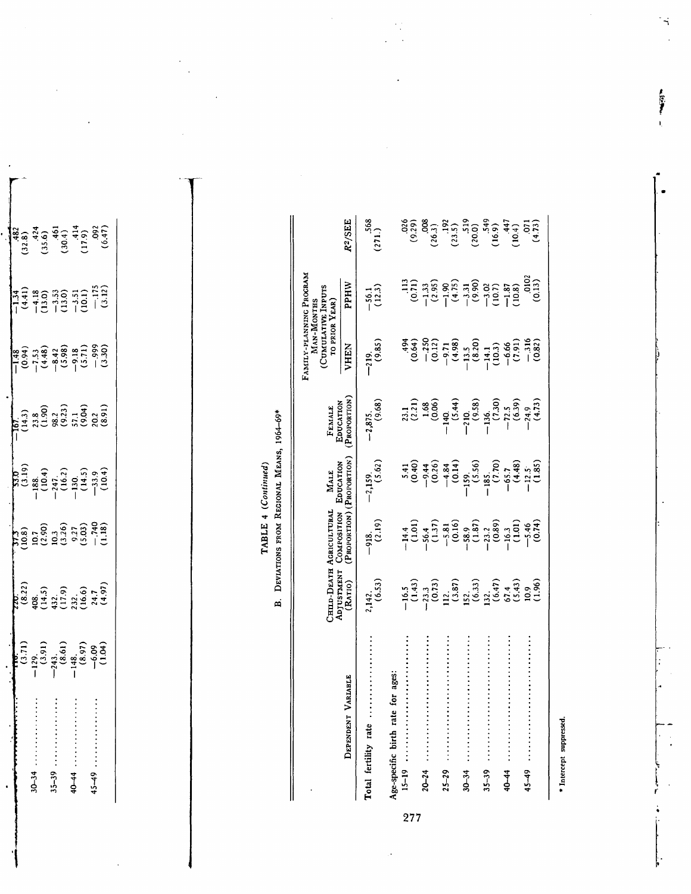It is the main of the second and the second and the second and the second and the second and the second and the second and the second and the second and the second and the second and the second and the second and the seco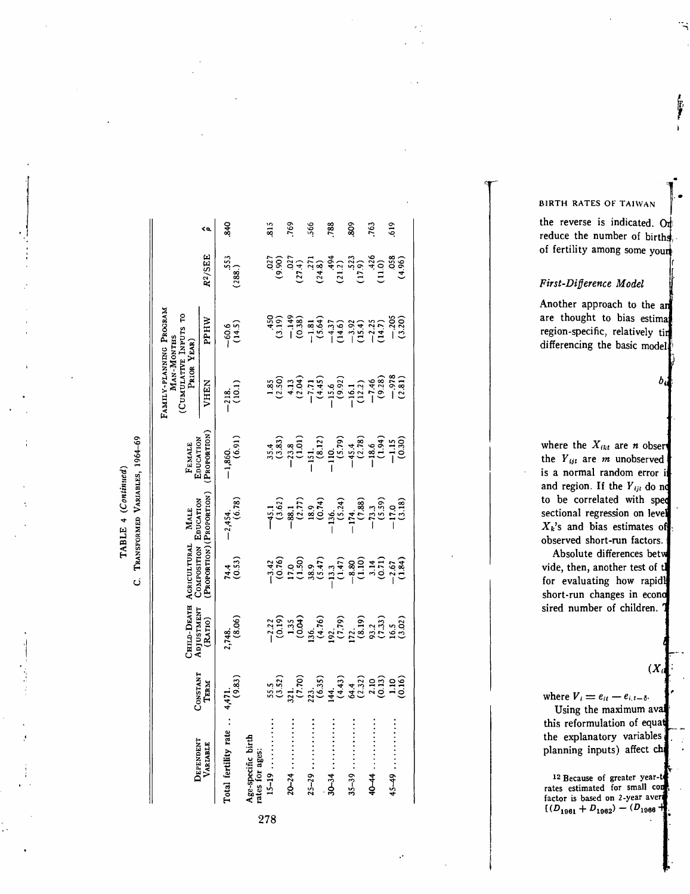| I<br>ŗ<br>ŕ,     |
|------------------|
|                  |
| ŗ<br>г<br>ī<br>۴ |

| i |
|---|
|   |
|   |

|                                                                               | R <sup>2</sup> /SEE                              | S40<br>(288.)                              |                                       | 815     | 769     | 566       |  | 788     | 809     | 763                            | 619<br>$(36.4)$<br>$(11.0)$<br>$(21.1)$<br>$(31.2)$<br>$(31.1)$<br>$(31.2)$<br>$(31.2)$<br>$(31.2)$<br>$(31.2)$<br>$(31.2)$<br>$(31.2)$<br>$(31.2)$                                                                                                                                                                                                                                                                                                                                                                                                                                         |
|-------------------------------------------------------------------------------|--------------------------------------------------|--------------------------------------------|---------------------------------------|---------|---------|-----------|--|---------|---------|--------------------------------|---------------------------------------------------------------------------------------------------------------------------------------------------------------------------------------------------------------------------------------------------------------------------------------------------------------------------------------------------------------------------------------------------------------------------------------------------------------------------------------------------------------------------------------------------------------------------------------------|
| FAMILY-PLANNING PROGRAM<br>(CUMULATIVE INPUTS TO<br>MAN-MONTHS<br>PRIOR YEAR) | PPHW                                             | $-60.5$                                    |                                       |         |         |           |  |         |         |                                |                                                                                                                                                                                                                                                                                                                                                                                                                                                                                                                                                                                             |
|                                                                               | VHEN                                             | $-218$ .<br>(10.1)                         |                                       |         |         |           |  |         |         |                                | $\begin{array}{c} 1.83 \\ 1.39 \\ 1.39 \\ 1.43 \\ 1.50 \\ 1.50 \\ 1.51 \\ 1.54 \\ 1.54 \\ 1.55 \\ 1.56 \\ 1.57 \\ 1.58 \\ 1.59 \\ 1.59 \\ 1.51 \\ 1.51 \\ 1.52 \\ 1.53 \\ 1.54 \\ 1.51 \\ 1.51 \\ 1.51 \\ 1.52 \\ 1.53 \\ 1.54 \\ 1.54 \\ 1.55 \\ 1.55 \\ 1.56 \\ 1.57 \\ 1.58 \\ 1.59 \\ 1.59 \\ 1.59 \\ 1.$<br>$\begin{array}{cccc}\n & 35.4 & 5 & 4 & 35 \\  & 35.8 & 5 & 35 & 35 \\  & -23.8 & 5 & 35 & 35 \\  & -151 & 5 & 5 & 5 & 5 \\  & -151 & 5 & 5 & 5 & 5 \\  & -151 & 5 & 5 & 5 & 5 \\  & -15 & 5 & 5 & 5 & 5 \\  & -15 & 5 & 5 & 5 & 5 \\  & -15 & 5 & 5 & 5 & 5\n\end{array}$ |
| MALE<br>EDUCATION                                                             | FEMALE<br>EDUCATION<br>PROPORTION)<br>Proportion | $-1,860.$<br>(6.91)<br>$-2,454.$<br>(6.78) |                                       |         |         |           |  |         |         |                                | $\begin{pmatrix} 45.1 \\ (3.62) \\ (3.61) \\ (2.7) \\ (3.8) \\ (3.8) \\ (3.8) \\ (3.8) \\ (3.8) \\ (3.8) \\ (3.8) \\ (3.9) \\ (3.18) \\ (3.18) \\ (3.18) \\ (3.18) \\ (3.19) \\ (3.18) \\ (3.19) \\ (3.19) \\ (3.10) \\ (3.10) \\ (3.13) \\ (3.10) \\ (3.13) \\ (3.13) \\ (3.14) \\ (3.15) \\ (3.16) \\ (3.17) \\ (3.18) \\ (3.19) \\$                                                                                                                                                                                                                                                      |
| AGRICULTURAL<br>COMPOSITION                                                   | PROPORTION)                                      | $74.4$<br>$(0.53)$                         |                                       |         |         |           |  |         |         |                                | $7^{34}_{0.6}$<br>$7^{36}_{0.6}$<br>$7^{36}_{0.6}$<br>$7^{36}_{0.6}$<br>$7^{34}_{0.6}$<br>$7^{34}_{0.6}$<br>$7^{34}_{0.6}$<br>$7^{34}_{0.6}$<br>$7^{34}_{0.6}$<br>$7^{34}_{0.6}$<br>$7^{34}_{0.6}$<br>$7^{34}_{0.6}$<br>$7^{34}_{0.6}$                                                                                                                                                                                                                                                                                                                                                      |
|                                                                               | CHILD-DEATH<br>ADJUSTMENT<br>(RATIO)             | $\frac{2,748}{(8.06)}$                     |                                       |         |         |           |  |         |         |                                | $\begin{bmatrix} 2.22 \\ 0.19 \\ -1.35 \\ 0.04 \\ 1.36 \\ 0.04 \\ 0.04 \\ 0.02 \\ 0.02 \\ 0.01 \\ 0.02 \\ 0.02 \\ 0.02 \\ 0.02 \\ 0.02 \\ 0.02 \\ 0.02 \\ 0.02 \\ 0.02 \\ 0.02 \\ 0.03 \\ 0.03 \\ 0.04 \\ 0.02 \\ 0.03 \\ 0.04 \\ 0.04 \\ 0.04 \\ 0.04 \\ 0.04 \\ 0.04 \\ 0.04 \\ 0.04 \\ 0.04 \\ 0.04 \\ 0.0$                                                                                                                                                                                                                                                                              |
|                                                                               | CONSTANT<br>TERM                                 | $4,471.$<br>(9.83)                         |                                       |         |         |           |  |         |         |                                | $\begin{array}{c} 5.5, \\ 5.21, \\ 5.21, \\ 5.35, \\ 5.4, \\ 5.5, \\ 5.5, \\ 5.5, \\ 5.5, \\ 5.5, \\ 5.5, \\ 5.5, \\ 5.5, \\ 5.5, \\ 5.5, \\ 5.5, \\ 5.5, \\ 5.5, \\ 5.5, \\ 5.5, \\ 5.5, \\ 5.5, \\ 5.5, \\ 5.5, \\ 5.5, \\ 5.5, \\ 5.5, \\ 5.5, \\ 5.5, \\ 5.5, \\ 5.5, \\ 5.5, \\ 5.5, \\ 5.5, \\ 5.5, \\$                                                                                                                                                                                                                                                                               |
|                                                                               | DEPENDENT<br>VARIABLE                            | Total fertility rate.                      | Age-specific birth<br>rates for ages: | $15-19$ | $20-24$ | $25 - 29$ |  | $30-34$ | $35-39$ | $\frac{1}{40}$ $\frac{44}{44}$ | $45 - 9 - $                                                                                                                                                                                                                                                                                                                                                                                                                                                                                                                                                                                 |

 $\lambda$ 

278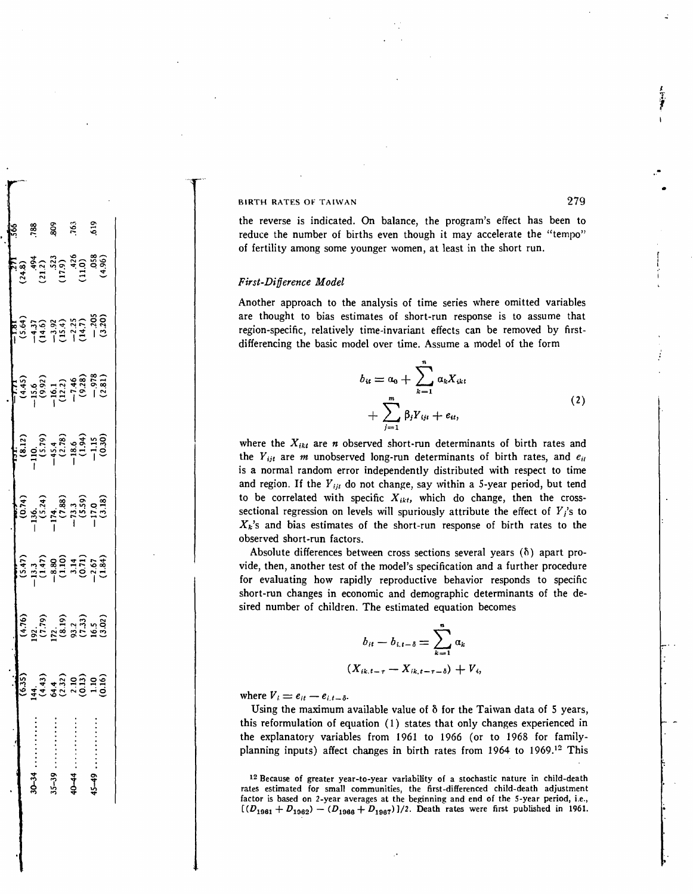the reverse is indicated. On balance, the program's effect has been to reduce the number of births even though it may accelerate the "tempo" of fertility among some younger women, at least in the short run.

### First-Difference Model

Another approach to the analysis of time series where omitted variables are thought to bias estimates of short-run response is to assume that region-specific, relatively time-invariant effects can be removed by firstdifferencing the basic model over time. Assume a model of the form

$$
b_{it} = \alpha_0 + \sum_{k=1}^{n} \alpha_k X_{ikt}
$$
  
+ 
$$
\sum_{j=1}^{m} \beta_j Y_{ijt} + e_{it},
$$
 (2)

where the  $X_{ikt}$  are n observed short-run determinants of birth rates and the  $Y_{ijt}$  are m unobserved long-run determinants of birth rates, and  $e_{it}$ is a normal random error independently distributed with respect to time and region. If the  $Y_{ijt}$  do not change, say within a 5-year period, but tend to be correlated with specific  $X_{ikt}$ , which do change, then the crosssectional regression on levels will spuriously attribute the effect of  $Y_i$ 's to  $X_k$ 's and bias estimates of the short-run response of birth rates to the observed short-run factors.

Absolute differences between cross sections several years  $(\delta)$  apart provide, then, another test of the model's specification and a further procedure for evaluating how rapidly reproductive behavior responds to specific short-run changes in economic and demographic determinants of the desired number of children. The estimated equation becomes

$$
b_{it} - b_{i,t-\delta} = \sum_{k=1}^{n} \alpha_k
$$
  

$$
(X_{ik,t-\tau} - X_{ik,t-\tau-\delta}) + V_i,
$$

where  $V_i = e_{it} - e_{i,t-\delta}$ .

Using the maximum available value of  $\delta$  for the Taiwan data of 5 years, this reformulation of equation (1) states that only changes experienced in the explanatory variables from 1961 to 1966 (or to 1968 for familyplanning inputs) affect changes in birth rates from 1964 to 1969.12 This

<sup>12</sup> Because of greater year-to-year variability of a stochastic nature in child-death rates estimated for small communities, the first-differenced child-death adjustment factor is based on 2-year averages at the beginning and end of the S-year period, i.e.,  $[(D_{1961} + D_{1962}) - (D_{1966} + D_{1967})]/2$ . Death rates were first published in 1961.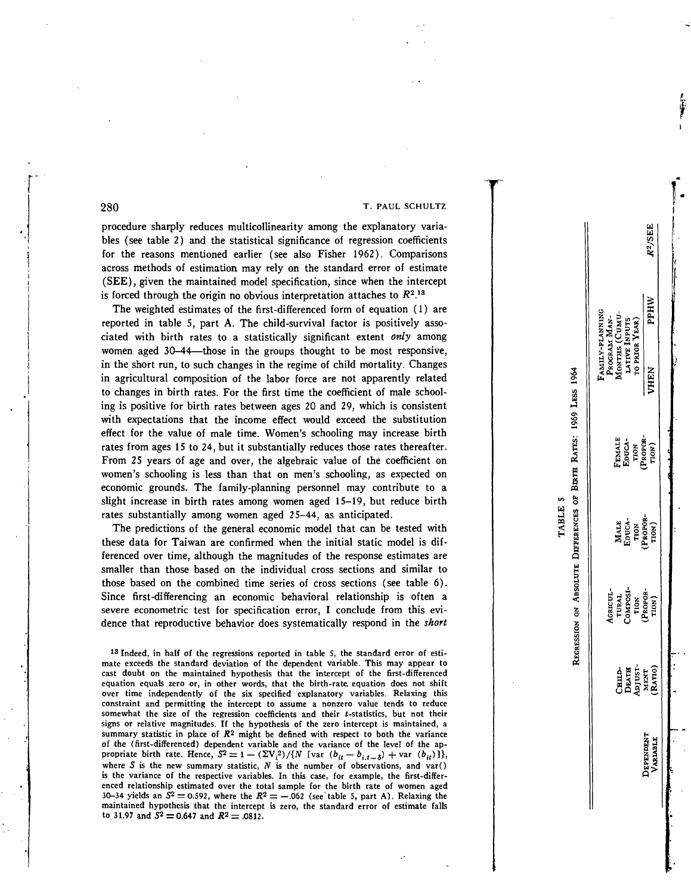$\cdot$  :

procedure sharply reduces multicollinearity among the explanatory variables (see table 2) and the statistical significance of regression coefficients for the reasons mentioned earlier (see also Fisher 1962). Comparisons across methods of estimation may rely on the standard error of estimate (SEE), given the maintained model specification, since when the intercept is forced through the origin no obvious interpretation attaches to  $R^{2,13}$ 

The weighted estimates of the first-differenced form of equation (1) are reported in table 5, part A. The child-survival factor is positively associated with birth rates to a statistically significant extent only among women aged 30–44—those in the groups thought to be most responsive, in the short run, to such changes in the regime of child mortality. Changes in agricultural composition of the labor force are not apparently related to changes in birth rates. For the first time the coefficient of male schooling is positive for birth rates between ages 20 and 29, which is consistent with expectations that the income effect would exceed the substitution effect for the value of male time. Women's schooling may increase birth rates from ages 15 to 24, but it substantially reduces those rates thereafter. From 25 years of age and over, the algebraic value of the coefficient on women's schooling is less than that on men's schooling, as expected on economic grounds. The family-planning personnel may contribute to a slight increase in birth rates among women aged 15—19, but reduce birth rates substantially among women aged 25–44, as anticipated.

The predictions of the general economic model that can be tested with these data for Taiwan are confirmed when the initial static model is differenced over time, although the magnitudes of the response estimates are smaller than those based on the individual cross sections and similar to those based on the combined time series of cross sections (see table 6). Since first-differencing an economic behavioral relationship is often a severe econometric test for specification error, I conclude from this evidence that reproductive behavior does systematically respond in the short

<sup>13</sup> Indeed, in half of the regressions reported in table 5, the standard error of estimate exceeds the standard deviation of the dependent variable. This may appear to cast doubt on the maintained hypothesis that the intercept of the first-differenced equation equals zero or, in other words, that the birth-rate equation does not shift over time independently of the six specified explanatory variables. Relaxing this constraint and permitting the intercept to assume a nonzero value tends to reduce somewhat the size of the regression coefficients and their  $t$ -statistics, but not their signs or relative magnitudes. If the hypothesis of the zero intercept is maintained, a summary statistic in place of  $R<sup>2</sup>$  might be defined with respect to both the variance of the (first-differenced) dependent variable and the variance of the level of the appropriate birth rate. Hence,  $S^2 = 1 - (\Sigma V_i^2)/\{N \text{ [var } (b_{it} - b_{i,t-\delta}) + \text{var } (b_{it})\}\},$ where S is the new summary statistic,  $N$  is the number of observations, and var() is the variance of the respective variables. In this case, for example, the first-differenced relationship estimated over the total sample for the birth rate of women aged 30-34 yields an  $S^2 = 0.592$ , where the  $R^2 = -.062$  (see table 5, part A). Relaxing the maintained hypothesis that the intercept is zero, the standard error of estimate falls to 31.97 and  $S^2 = 0.647$  and  $R^2 = .0812$ .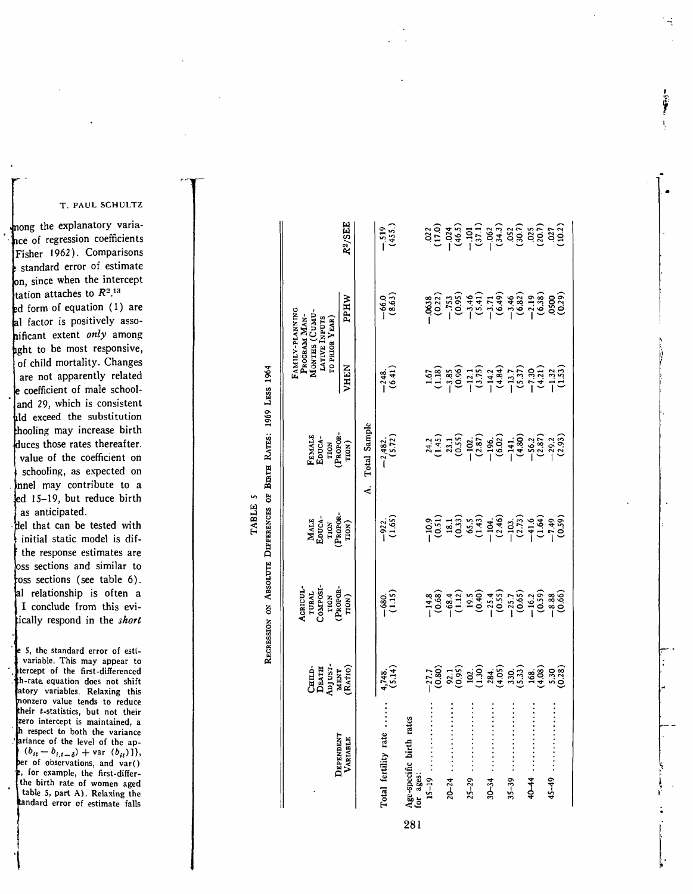|                                                                  |                                                                                                             | <b>R2/SEE</b> |                                    | $-519$<br>(455.)     |                                          |           |           |                                                                                                                                                                                                                                                                                                                                                   |           |           |       |       |
|------------------------------------------------------------------|-------------------------------------------------------------------------------------------------------------|---------------|------------------------------------|----------------------|------------------------------------------|-----------|-----------|---------------------------------------------------------------------------------------------------------------------------------------------------------------------------------------------------------------------------------------------------------------------------------------------------------------------------------------------------|-----------|-----------|-------|-------|
|                                                                  | FAMILY-PLANNING<br>MONTHS (CUMU<br>PROGRAM MAN<br><b>LATIVE INPUTS</b><br>TO PRIOR YEAR                     | PPHW          |                                    | $-66.0$<br>(8.63)    |                                          |           |           | $\begin{bmatrix} 638 \\ 0.21 \\ 0.95 \\ 0.95 \\ 0.96 \\ 0.97 \\ 0.98 \\ 0.41 \\ 0.71 \\ 0.49 \\ 0.49 \\ 0.42 \\ 0.39 \\ 0.39 \\ 0.39 \\ 0.39 \\ 0.39 \\ 0.39 \\ 0.39 \\ 0.39 \\ 0.39 \\ 0.39 \\ 0.39 \\ 0.39 \\ 0.39 \\ 0.39 \\ 0.39 \\ 0.39 \\ 0.39 \\ 0.39 \\ 0.39 \\ 0.39 \\ 0.39 \\ 0.39 \\ 0.39 \\ 0.39$                                     |           |           |       |       |
|                                                                  |                                                                                                             | VHEN          |                                    | $-248.$<br>(6.41)    |                                          |           |           |                                                                                                                                                                                                                                                                                                                                                   |           |           |       |       |
| REGRESSION ON ABSOLUTE DEFERENCES OF BERTH RATES: 1969 LESS 1964 | FEMALE<br>EDUCA-<br>TION<br>TROPOR-<br>TION)                                                                |               | Total Sample<br>$\dot{\mathbf{z}}$ | $-2,482$ .<br>(5.72) |                                          |           |           | $\begin{array}{l} 4.2 \\ 1.45 \\ 1.31 \\ 2.31 \\ 0.55 \\ 0.65 \\ 0.43 \\ 0.65 \\ 0.23 \\ 0.24 \\ 0.25 \\ 0.27 \\ 0.28 \\ 0.29 \\ 0.23 \\ 0.23 \\ 0.24 \\ 0.25 \\ 0.27 \\ 0.29 \\ 0.23 \\ 0.25 \\ 0.27 \\ 0.28 \\ 0.29 \\ 0.23 \\ 0.23 \\ 0.25 \\ 0.25 \\ 0.27 \\ 0.29 \\ 0.29 \\ 0.23 \\ 0.23 \\ 0.23 \\ 0.2$                                     |           |           |       |       |
|                                                                  | MALE<br>EDUCA-<br>TION<br>TROPOR                                                                            |               |                                    | $-922$<br>(1.65)     |                                          |           |           | $\begin{array}{r} -10.9 \\ (0.51) \\ (0.31) \\ (0.33) \\ (0.35) \\ (0.43) \\ (1.43) \\ (1.43) \\ (1.44) \\ (1.45) \\ (1.46) \\ (1.47) \\ (1.49) \\ (1.49) \\ (1.49) \\ (1.40) \\ (1.40) \\ (1.40) \\ (1.40) \\ (1.40) \\ (1.40) \\ (1.40) \\ (1.40) \\ (1.40) \\ (1.40) \\ (1.40) \\ (1.40) \\ (1.40) \\ (1.40) \\ (1.40) \\ (1.4$                |           |           |       |       |
|                                                                  | TURAL<br>COMPOSI-<br><b>ACRICUL</b><br>$\begin{array}{c} \tt{row} \\ (\tt{Propon} \\ \tt{row}) \end{array}$ |               |                                    | $-680$ .<br>(1.15)   |                                          |           |           | $\begin{array}{r} -14.8 \\ -16.8 \\ -12.1 \\ -12.1 \\ -12.5 \\ -12.5 \\ -12.5 \\ -12.5 \\ -12.5 \\ -12.5 \\ -12.5 \\ -12.5 \\ -12.5 \\ -12.5 \\ -12.5 \\ -12.5 \\ -12.5 \\ -12.5 \\ -12.5 \\ -12.5 \\ -12.5 \\ -12.5 \\ -12.5 \\ -12.5 \\ -12.5 \\ -12.5 \\ -12.5 \\ -12.5 \\ -12.5 \\ -12.5 \\ -12.5 \\ -12.5 \\ -12.5 \\ -12.5 \\ -12.5 \\ -12$ |           |           |       |       |
|                                                                  | CHILD-<br>DEATH<br>ADJUSI-<br>ALEXT<br>(RATIO)<br>(RATIO)                                                   |               |                                    | $4,748$ .<br>(5.14)  |                                          |           |           | $77.7$<br>$(0.80)$<br>$(0.91)$<br>$(0.91)$<br>$(1.30)$<br>$(1.30)$<br>$(1.30)$<br>$(1.30)$<br>$(1.30)$<br>$(1.30)$<br>$(1.30)$<br>$(1.30)$                                                                                                                                                                                                        |           |           |       |       |
|                                                                  | DEPENDENT                                                                                                   | VARIABLE      |                                    | Total fertility rate | B<br>Age-specific birth rat<br>for ages: | $15 - 19$ | $20 - 24$ | $25 - 29$                                                                                                                                                                                                                                                                                                                                         | $30 - 34$ | $35 - 39$ | 40–44 | 45–49 |
|                                                                  |                                                                                                             |               |                                    |                      | 281                                      |           |           |                                                                                                                                                                                                                                                                                                                                                   |           |           |       |       |

TABLE 5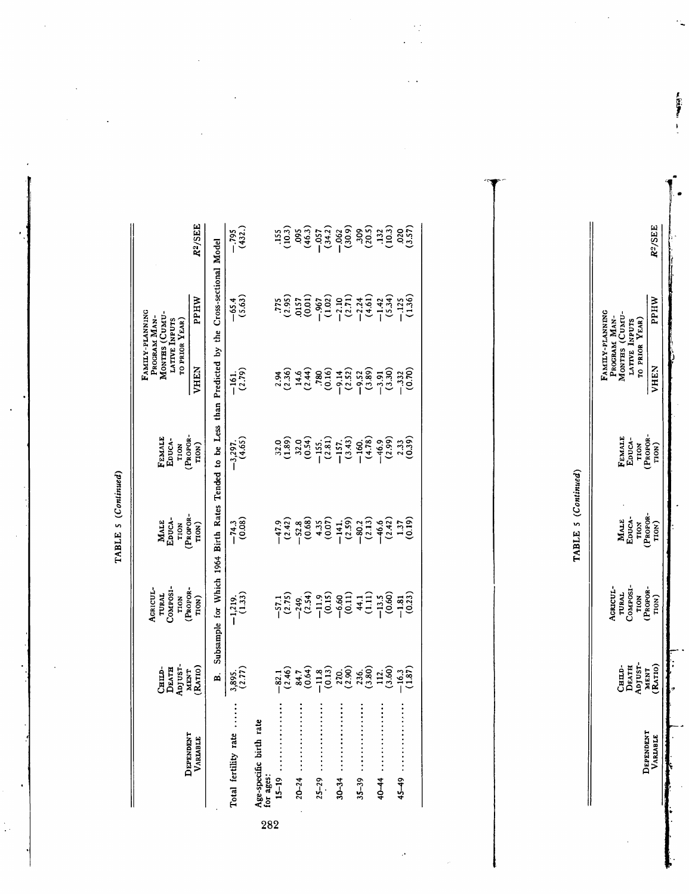$\overline{a}$ 

282

 $\ddot{\phantom{1}}$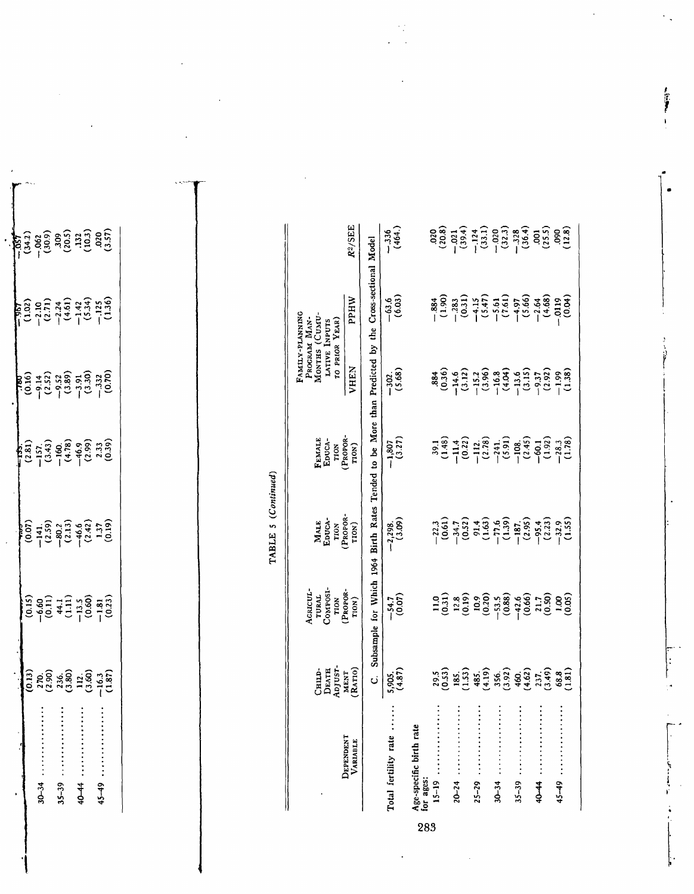| $\cdot$                                                   | Снць-<br>Дели<br>Арјизт- | Composi-<br>AGRICUL-<br>TURAL<br>TION | EDUCA-<br>MALE<br>TION | FEMALE<br>EDUCA-<br><b>TION</b>                                                                    | FAMILY-PLANNING<br>MONTHS (CUMU-<br>PROGRAM MAN-<br>LATIVE INPUTS<br>TO PRIOR YEAR) |                   |                  |
|-----------------------------------------------------------|--------------------------|---------------------------------------|------------------------|----------------------------------------------------------------------------------------------------|-------------------------------------------------------------------------------------|-------------------|------------------|
| DEPENDENT<br>VARIABLE                                     | MENT<br>(RATIO)          | (PROPOR-<br>TION                      | (PROPOR-<br>TION)      | (PROPOR-<br>TION)                                                                                  | VHEN                                                                                | PPHW              | $R^2$ /SEE       |
|                                                           | ن                        |                                       |                        | Subsample for Which 1964 Birth Rates Tended to be More than Predicted by the Cross-sectional Model |                                                                                     |                   |                  |
| Total fertility rate                                      | (4.87)<br>Ş<br>∣∽        | (0.07)<br>$-54.7$                     | (3.09)<br>$-2,298.$    | (3.27)<br>$-1,807$                                                                                 | (5.68)<br>$-302$                                                                    | (6.03)<br>$-63.6$ | (464.)<br>$-336$ |
| Age-specific birth rate<br>for ages:                      |                          |                                       |                        |                                                                                                    |                                                                                     |                   |                  |
| $\vdots$                                                  | (0.53)                   | (0.31)                                | (0.61)                 | (1.48)                                                                                             | (0.36)                                                                              | (1.90)            | (303)            |
| $15 - 19$                                                 | 29.5                     | $\overline{11.0}$                     | $-22.3$                | 39.1                                                                                               | 884                                                                                 | .884              |                  |
| $\ddot{\cdot}$                                            | (1.53)                   | (0.19)                                | (0.52)                 | (0.22)                                                                                             | (3.12)                                                                              | (0.31)            | (39.4)           |
| $20 - 24$                                                 | 185.                     | 12.8                                  | 34.7                   | $-11.4$                                                                                            | $-14.6$                                                                             | .283              | $\overline{0}$   |
| $25 - 29$                                                 | (4.19)                   | (0.20)                                | (1.63)                 | (2.78)                                                                                             | (3.96)                                                                              | (5.47)            | (33.1)           |
|                                                           | 485.                     | 10.9                                  | 91.4                   | $\frac{12}{11}$                                                                                    | $-15.2$                                                                             | 4.15              | $-124$           |
| $30 - 34$                                                 | (3.92)                   | (0.88)                                | (1.39)                 | (5.91)                                                                                             | (4.04)                                                                              | (7.61)            | (32.3)           |
|                                                           | 356.                     | 53.5                                  | 77.6                   | $-241$ .                                                                                           | $-16.8$                                                                             | $-5.61$           | $020 -$          |
| $35 - 39$                                                 | (4.62)                   | (0.66)                                | (2.95)                 | (2.45)                                                                                             | (3.15)                                                                              | (5.66)            | (36.4)           |
|                                                           | 460.                     | $-42.6$                               | $-187.$                | $-108$ .                                                                                           | $-13.6$                                                                             | 4.97              | .328             |
| $\vdots$                                                  | (3.49)                   | (0.50)                                | (2.23)                 | (1.92)                                                                                             | (2.92)                                                                              | (4.68)            | (25.5)           |
| 40-44                                                     | 237.                     | 21.7                                  | 95.4                   | $-60.1$                                                                                            | $-9.37$                                                                             | $-2.64$           | ã                |
| $\vdots$<br>$\ddot{\cdot}$<br>$\ddot{\cdot}$<br>$45 - 49$ | (1.81)<br>68.8           | $\frac{88}{100}$                      | $-32.9$<br>(1.55)      | (1.78)<br>$-28.3$                                                                                  | (1.38)<br>$-1.99$                                                                   | (0.04)<br>0119    | (12.8)<br>80     |

 $\ddot{\phantom{a}}$ 

283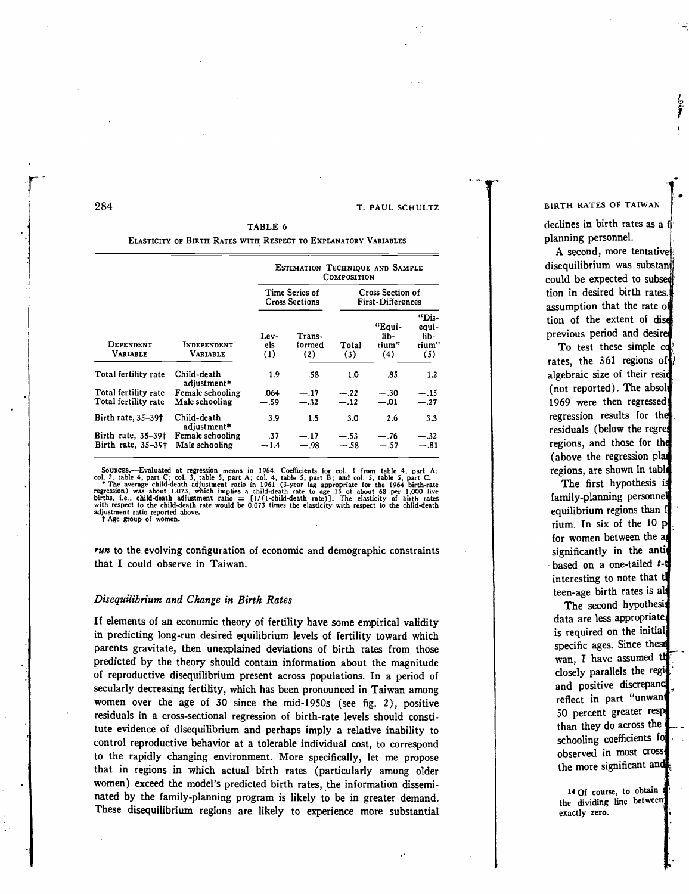$\cdot$ 

|                                                |                                    |                    | ESTIMATION TECHNIQUE AND SAMPLE         | COMPOSITION      |                                       |                                        |
|------------------------------------------------|------------------------------------|--------------------|-----------------------------------------|------------------|---------------------------------------|----------------------------------------|
|                                                |                                    |                    | Time Series of<br><b>Cross Sections</b> |                  | Cross Section of<br>First-Differences |                                        |
| DEPENDENT<br><b>VARIABLE</b>                   | INDEPENDENT<br><b>VARIABLE</b>     | Lev-<br>els<br>(1) | Trans-<br>formed<br>(2)                 | Total<br>(3)     | "Equi-<br>lib-<br>rium"<br>(4)        | "Dis-<br>equi-<br>lib-<br>rium"<br>(5) |
| Total fertility rate                           | Child-death<br>adjustment*         | 1.9                | .58                                     | 1.0              | .85                                   | 1.2                                    |
| Total fertility rate<br>Total fertility rate   | Female schooling<br>Male schooling | .064<br>— 59       | $-.17$<br>$-.32$                        | $-.22$<br>$-.12$ | $-.30$<br>$-.01$                      | $-.15$<br>$-.27$                       |
| Birth rate, 35–39†                             | Child-death<br>adjustment*         | 3.9                | 1.5                                     | 3.0              | 2.6                                   | 3.3                                    |
| Birth rate, $35-39$ †<br>Birth rate, $35-39$ † | Female schooling<br>Male schooling | .37<br>$-1.4$      | $-.17$<br>$-98$                         | $-.53$<br>- 58   | - 76<br>$-.57$                        | $-.32$<br>- 81                         |

TABLE 6 ELASTICITY OF BIRTH RATES WITH RESPECT TO EXPLANATORY VARIABLES

Sources.—Evaluated at regression means in 1964. Coefficients for col. 1 from table 4, part A; col. 2, table 4, part C; col. 3, table 5, part A; col. 4, table 5, part B; and col. 5, table 5, part C. The average child-death adjustment ratio reported above.<br>† Age group of women.

 $run$  to the evolving configuration of economic and demographic constraints that I could observe in Taiwan.

### Disequilibrium and Change in Birth Rates

If elements of an economic theory of fertility have some empirical validity in predicting long-run desired equilibrium levels of fertility toward which parents gravitate, then unexplained deviations of birth rates from those predicted by the theory should contain information about the magnitude of reproductive disequilibrium present across populations. In a period of secularly decreasing fertility, which has been pronounced in Taiwan among women over the age of 30 since the mid-1950s (see fig. 2), positive residuals in a cross-sectional regression of birth-rate levels should constitute evidence of disequilibrium and perhaps imply a relative inability to control reproductive behavior at a tolerable individual cost, to correspond to the rapidly changing environment. More specifically, let me propose that in regions in which actual birth rates (particularly among older women) exceed the model's predicted birth rates, the information disseminated by the family-planning program is likely to be in greater demand. These disequilibrium regions are likely to experience more substantial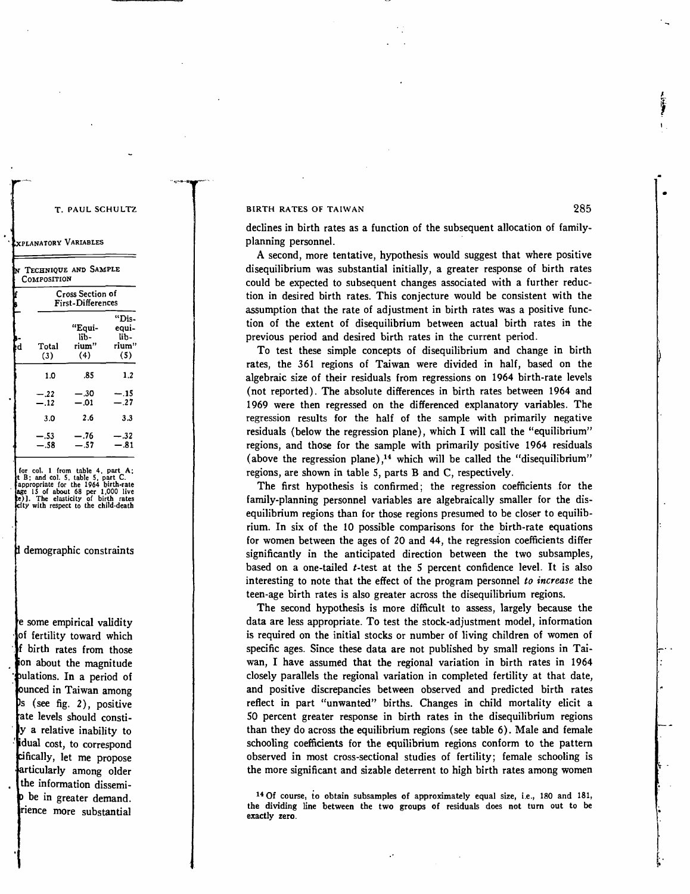declines in birth rates as a function of the subsequent allocation of familyplanning personnel.

A second, more tentative, hypothesis would suggest that where positive disequilibrium was substantial initially, a greater response of birth rates could be expected to subsequent changes associated with a further reduction in desired birth rates. This conjecture would be consistent with the assumption that the rate of adjustment in birth rates was a positive function of the extent of disequilibrium between actual birth rates in the previous period and desired birth rates in the current period.

To test these simple concepts of disequilibrium and change in birth rates, the 361 regions of Taiwan were divided in half, based on the algebraic size of their residuals from regressions on 1964 birth-rate levels (not reported). The absolute differences in birth rates between 1964 and 1969 were then regressed on the differenced explanatory variables. The regression results for the half of the sample with primarily negative residuals (below the regression plane), which I will call the "equilibrium" regions, and those for the sample with primarily positive 1964 residuals (above the regression plane),<sup>14</sup> which will be called the "disequilibrium" regions, are shown in table 5, parts B and C, respectively.

The first hypothesis is confirmed; the regression coefficients for the family-planning personnel variables are algebraically smaller for the disequilibrium regions than for those regions presumed to be closer to equilibrium. In six of the 10 possible comparisons for the birth-rate equations for women between the ages of 20 and 44, the regression coefficients differ significantly in the anticipated direction between the two subsamples, based on a one-tailed t-test at the 5 percent confidence level. It is also interesting to note that the effect of the program personnel to increase the teen-age birth rates is also greater across the disequilibrium regions.

The second hypothesis is more difficult to assess, largely because the data are less appropriate. To test the stock-adjustment model, information is required on the initial stocks or number of living children of women of specific ages. Since these data are not published by small regions in Taiwan, I have assumed that the regional variation in birth rates in 1964 closely parallels the regional variation in completed fertility at that date, and positive discrepancies between observed and predicted birth rates reflect in part "unwanted" births. Changes in child mortality elicit a 50 percent greater response in birth rates in the disequilibrium regions than they do across the equilibrium regions (see table 6). Male and female schooling coefficients for the equilibrium regions conform to the pattern observed in most cross-sectional studies of fertility; female schooling is the more significant and sizable deterrent to high birth rates among women

 $\cdot$ 

 $14$  Of course, to obtain subsamples of approximately equal size, i.e., 180 and 181, the dividing line between the two groups of residuals does not turn out to be exactly zero.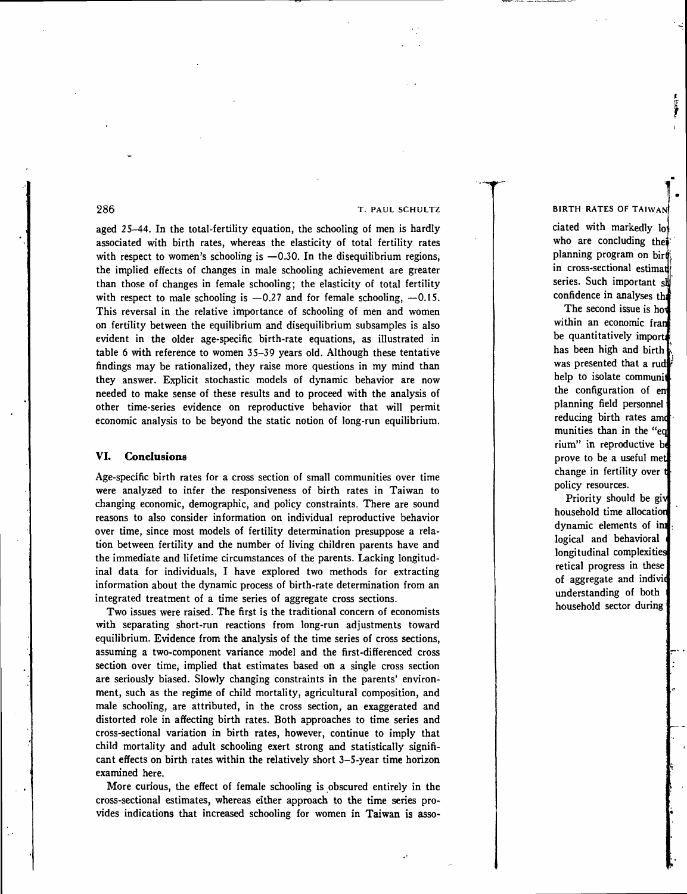$\ddot{\cdot}$ 

aged 25—44. In the total-fertility equation, the schooling of men is hardly associated with birth rates, whereas the elasticity of total fertility rates with respect to women's schooling is -0.30. In the disequilibrium regions, the implied effects of changes in male schooling achievement are greater than those of changes in female schooling; the elasticity of total fertility with respect to male schooling is  $-0.27$  and for female schooling,  $-0.15$ . This reversal in the relative importance of schooling of men and women on fertility between the equilibrium and disequilibrium subsamples is also evident in the older age-specific birth-rate equations, as illustrated in table 6 with reference to women 35-39 years old. Although these tentative findings may be rationalized, they raise more questions in my mind than they answer. Explicit stochastic models of dynamic behavior are now needed to make sense of these results and to proceed with the analysis of other time-series evidence on reproductive behavior that will permit economic analysis to be beyond the static notion of long-run equilibrium.

# VI. Conclusions

Age-specific birth rates for a cross section of small communities over time were analyzed to infer the responsiveness of birth rates in Taiwan to changing economic, demographic, and policy constraints. There are sound reasons to also consider information on individual reproductive behavior over time, since most models of fertility determination presuppose a relation between fertility and the number of living children parents have and the immediate and lifetime circumstances of the parents. Lacking longitudinal data for individuals, I have explored two methods for extracting information about the dynamic process of birth-rate determination from an integrated treatment of a time series of aggregate cross sections.

Two issues were raised. The first is the traditional concern of economists with separating short-run reactions from long-run adjustments toward equilibrium. Evidence from the analysis of the time series of cross sections, assuming a two-component variance model and the first-differenced cross section over time, implied that estimates based on a single cross section are seriously biased. Slowly changing constraints in the parents' environment, such as the regime of child mortality, agricultural composition, and male schooling, are attributed, in the cross section, an exaggerated and distorted role in affecting birth rates. Both approaches to time series and cross-sectional variation in birth rates, however, continue to imply that child mortality and adult schooling exert strong and statistically significant effects on birth rates within the relatively short 3—5-year time horizon examined here.

More curious, the effect of female schooling is obscured entirely in the cross-sectional estimates, whereas either approach to the time series provides indications that increased schooling for women in Taiwan is asso-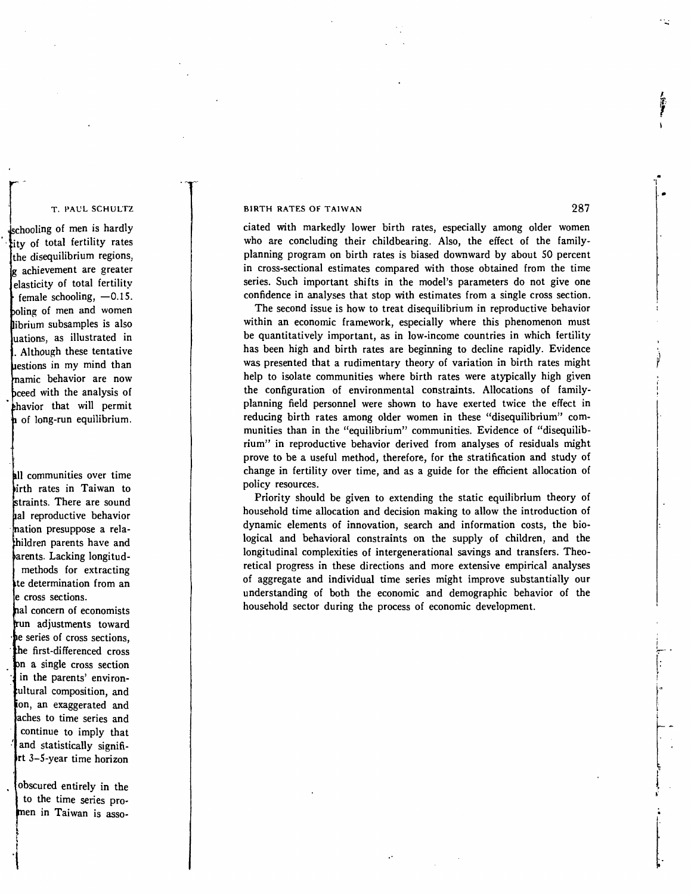ciated with markedly lower birth rates, especially among older women who are concluding their childbearing. Also, the effect of the familyplanning program on birth rates is biased downward by about 50 percent in cross-sectional estimates compared with those obtained from the time series. Such important shifts in the model's parameters do not give one confidence in analyses that stop with estimates from a single cross section.

The second issue is how to treat disequilibrium in reproductive behavior within an economic framework, especially where this phenomenon must be quantitatively important, as in low-income countries in which fertility has been high and birth rates are beginning to decline rapidly. Evidence was presented that a rudimentary theory of variation in birth rates might help to isolate communities where birth rates were atypically high given the configuration of environmental constraints. Allocations of familyplanning field personnel were shown to have exerted twice the effect in reducing birth rates among older women in these "disequilibrium" communities than in the "equilibrium" communities. Evidence of "disequilibrium" in reproductive behavior derived from analyses of residuals might prove to be a useful method, therefore, for the stratification and study of change in fertility over time, and as a guide for the efficient allocation of policy resources.

Priority should be given to extending the static equilibrium theory of household time allocation and decision making to allow the introduction of dynamic elements of innovation, search and information costs, the biological and behavioral constraints on the supply of children, and the longitudinal complexities of intergenerational savings and transfers. Theoretical progress in these directions and more extensive empirical analyses of aggregate and individual time series might improve substantially our understanding of both the economic and demographic behavior of the household sector during the process of economic development.

 $\cdot$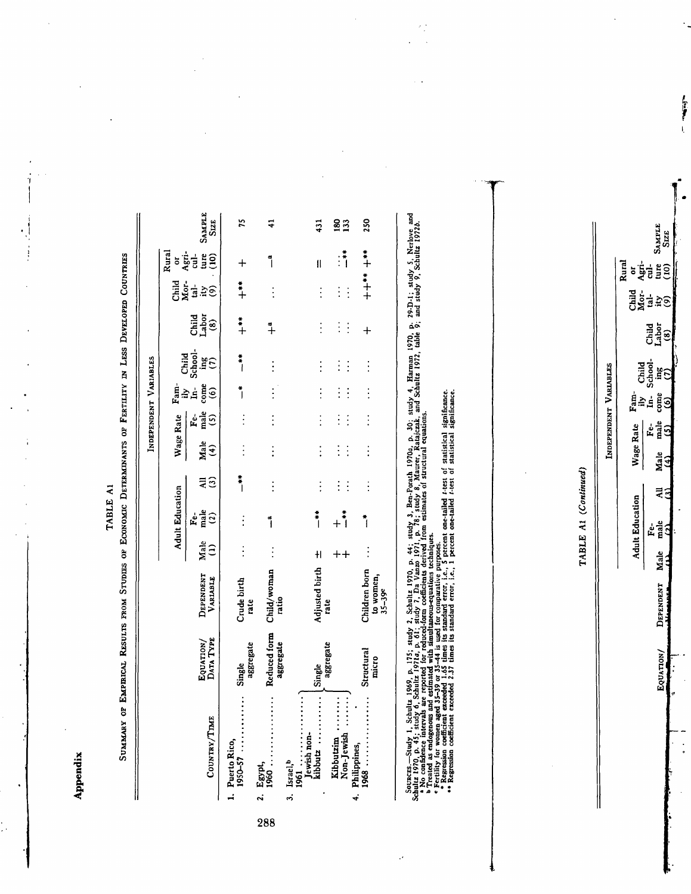Appendix

TABLE AI

SUMMARY OF EMPERIOL RESULTS FROM STUDES OF ECONOMIC DETERMINANTS OF FERTILITY IN LESS DEVELOPED COUNTRES

|                       |                        | SAMPLE<br>Size                                                                            | 75                  |                           |          | 431                                                            | <b>823</b>           | 250                                     |
|-----------------------|------------------------|-------------------------------------------------------------------------------------------|---------------------|---------------------------|----------|----------------------------------------------------------------|----------------------|-----------------------------------------|
|                       | Rural                  | ati-                                                                                      | $\ddag$             | اً                        |          | $\mathbf{I}$                                                   | أ<br>$\vdots$        | **+ **++                                |
|                       |                        | <b>Chida</b><br><b>Mada</b><br>Cada                                                       | $+$                 | $\vdots$                  |          | $\vdots$                                                       | $\vdots$<br>$\vdots$ |                                         |
|                       |                        | Child<br>Labor<br>(8)                                                                     | $+$                 | ╕                         |          | $\vdots$                                                       | $\vdots$<br>$\vdots$ | $\ddot{\phantom{1}}$                    |
|                       |                        | $\begin{array}{c} \text{Child} \\ \text{Stabol-} \\ \text{ing} \\ \text{(7)} \end{array}$ | $\ddot{\tilde{}}$   | $\vdots$                  |          | $\vdots$                                                       | $\vdots$<br>$\vdots$ | $\vdots$                                |
|                       |                        | ្អ<br>ផ្អ <i>≅</i> ក់ ខ្ញុំ©                                                              |                     | $\vdots$                  |          | $\vdots$                                                       | $\vdots$<br>$\vdots$ |                                         |
| INDEPENDENT VARIABLES | Wage Rate              | $E_{\text{m}}^{\text{e}}$                                                                 |                     | $\vdots$                  |          | $\vdots$                                                       | $\vdots$<br>$\vdots$ | $\vdots$                                |
|                       |                        | $Male$<br>(4)                                                                             | $\vdots$            | $\vdots$                  |          | $\vdots$                                                       | $\vdots$<br>$\vdots$ | $\vdots$                                |
|                       |                        | ξS                                                                                        | $\ddot{\ddot{\ }}$  | $\ddot{\cdot}$            |          | $\vdots$                                                       | $\vdots$<br>$\vdots$ | $\vdots$                                |
|                       | <b>Adult Education</b> | $\frac{1}{(2)}$<br>نه<br>ط                                                                | $\vdots$            | أ                         |          | ֞֓֓֓֓֓֓֓֓֓֓֓֓֓֓֓ <del>֓</del> ֧֧֧֓֓֓֝֓֓֓֝֬֓֓                   | $\ddot{\tilde{}}$    | $\ddot{ }$                              |
|                       |                        | $\sum_{(1)}$                                                                              | $\vdots$            |                           |          | $\ddagger$                                                     | ++                   |                                         |
|                       |                        | DEPENDENT<br>VARIABLE                                                                     | Crude birth<br>rate | Child/woman<br>ratio      |          | Adjusted birth                                                 | rate                 | Children born<br>to women,<br>$35-39^e$ |
|                       |                        | DATA TYPE<br>EQUATION/                                                                    | aggregate<br>Single | Reduced form<br>aggregate |          | Single                                                         | aggregate            | Structural<br>micro                     |
|                       |                        |                                                                                           |                     |                           | $\vdots$ | 3. $\text{Israel}_p$<br>1961<br>1961<br>Jewish non-<br>kibbutz | $\vdots$<br>$\vdots$ | Kibbutzim.<br>Non-Jewish                |

288

Sources.—Study 1, Schultz 1969, p. 175; study 2, Schultz 1970, p. 44; study 3, Ben-Porath 1970a, p. 30; study 4, Harman 1970, p. 29-D-1; study 5, Nerlove and<br>Schultz of the state of the strep of the study 7, Schultz 1970,

 $\ddot{\phantom{0}}$ 

 $\ddot{\phantom{1}}$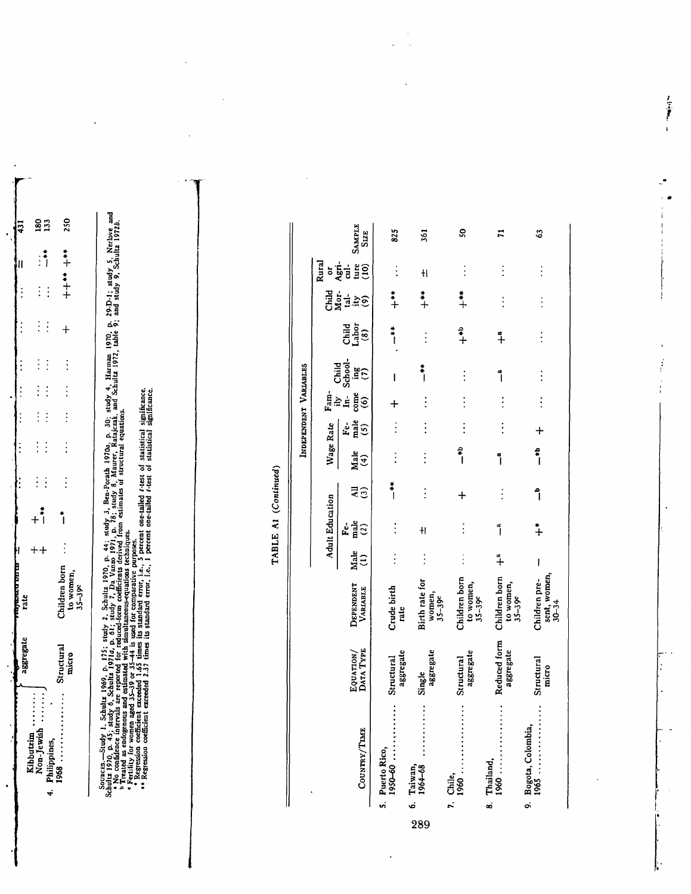TABLE A1 (Continued)

 $\ddot{\phantom{a}}$ 

,

|                              |                           |                                            |                       |                        |                    |                        | INDEPENDENT VARIABLES    |                                                           |                                  |                       |                             |                |                              |
|------------------------------|---------------------------|--------------------------------------------|-----------------------|------------------------|--------------------|------------------------|--------------------------|-----------------------------------------------------------|----------------------------------|-----------------------|-----------------------------|----------------|------------------------------|
|                              |                           |                                            |                       | <b>Adult Education</b> |                    |                        | Wage Rate                | Fam-                                                      |                                  |                       |                             | Rural          |                              |
| COUNTRY/TIME                 | DATA TYPE<br>EQUATION/    | DEPENDENT<br>VARIABLE                      | Male<br>$\widehat{c}$ | $\frac{1}{2}$<br>ė.    | æි                 | Male<br>$\mathfrak{F}$ | $\frac{4}{5}$<br>.<br>Fe | $\approx$ $\frac{1}{2}$ $\approx$ $\frac{1}{6}$ $\approx$ | Child<br>School-<br>$\lim_{(7)}$ | Child<br>Labor<br>(8) | <b>Haid</b><br>Cada<br>Cada | 541.80         | <b>SAMPLE</b><br><b>SIZE</b> |
| 5. Puerto Rico,<br>1950–60   | aggregate<br>Structural   | Crude birth<br>rate                        |                       |                        | $\ddot{\ddot{\ }}$ | $\vdots$               | $\vdots$                 |                                                           |                                  | $\ddot{\tilde{}}$     | $\ddot{*}$                  | $\vdots$       | 825                          |
| 6. Taiwan,<br>1964–68        | aggregate<br>Single       | Birth rate for<br>women,<br>35–39e         |                       | $\ddagger$             | $\vdots$           | $\vdots$               | $\vdots$                 |                                                           | $\ddot{\ddot{\ }}$               | $\ddot{\cdot}$        | $+$                         | $\ddagger$     | 361                          |
| 7. Chile,<br>1960 .          | aggregate<br>Structural   | Children born<br>to women,<br>$35 - 39c$   |                       | $\vdots$               | $\ddagger$         | ۽<br>آ                 | $\vdots$                 |                                                           | $\ddot{\cdot}$                   | $\ddot{x}$            | $\ddot{+}$                  | $\vdots$       | ន្ល                          |
| 8. Thailand,<br>1960         | Reduced form<br>aggregate | Children born<br>to women,<br>35–39e       | $\ddot{+}$            | اً                     |                    |                        |                          |                                                           | າ                                | $\ddot{ }$            |                             | $\ddot{\cdot}$ | 5                            |
| 9. Bogota, Colombia,<br>1965 | Structural<br>micro       | sent, women,<br>Children pre-<br>$30 - 34$ | I                     | $\ddagger$             | ີ່າ                | ۽<br>آ                 |                          |                                                           | $\vdots$                         | $\vdots$              | $\vdots$                    | $\vdots$       | 3                            |

289

×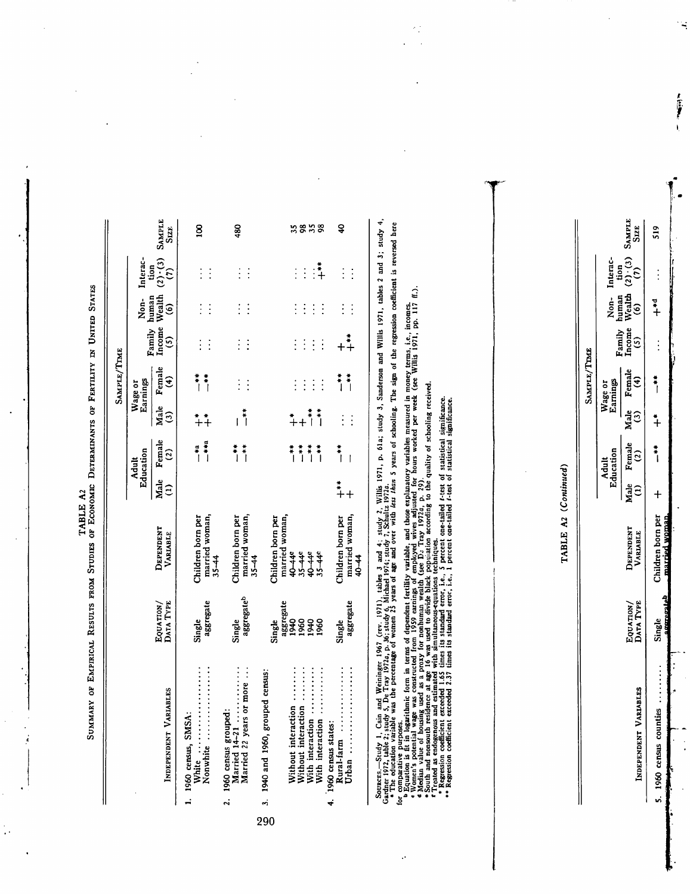| $3;$ study 4,<br>SAMPLE<br>Sources:—Study 1, Cain and Weininger 1967 (rev. 1971), tables 3 and 4; study 7, Willis 1971, p. 61a; study 3, Sanderson and Willis 1971, tables 2 and 3; study 4, $-$ Cain and Willis 1971, the strategy of the regression co<br>480<br>38<br>ş<br>g<br>38<br><b>Suze</b><br>$(2) \cdot (3)$<br>Interac-<br>$\ddot{ }$<br>don<br>$\overline{c}$<br>$\vdots$<br>$\vdots$<br>Wealth<br>human<br>Non-<br>$\vdots$<br>$\widehat{\mathbf{e}}$<br>$\ddot{\cdot}$<br>$\vdots$<br>$\vdots$<br>$\ddot{\cdot}$<br>Income<br>Family<br>$\tilde{c}$<br>$\vdots$<br>$\vdots$<br>$\vdots$<br>$\vdots$<br>$\ddot{\cdot}$<br>$\ddot{\cdot}$<br>Female<br>$\frac{1}{2}$<br>$\frac{1}{2}$<br>1<br>$\widehat{\epsilon}$<br>Earnings<br>$\vdots$<br>Wage or<br>$\vdots$<br>$\vdots$<br>$\ddot{\cdot}$<br>Male<br>$*$<br>$\frac{1}{2}$<br>$*$<br>Θ<br>$\ddot{+}$<br>$\ddagger$<br>$\vdots$<br>Female<br>$\frac{1}{2}$<br>$\ddot{\bullet}$<br>黄蜂<br>$*$<br>$\ddot{\tilde{}}$<br>$\ddot{\ddot{\tau}}$<br>ٲ<br>Education<br>ٲ<br>$\widehat{c}$<br>Adult<br>Male<br>$\ddot{*}$<br>$\widehat{z}$<br>married woman,<br>Children born per<br>married woman,<br>married woman,<br>married woman,<br>Children born per<br>Children born per<br>Children born per<br>DEPENDENT<br>VARIABLE<br>$35-44c$<br>40-44c<br>$rac{4}{5}$<br>$35-44c$<br>$40 - 44$<br>$35 - 44$<br>$35 - 44$<br>aggregateb<br>aggregate<br>aggregate<br>aggregate<br>DATA TYPE<br>EQUATION/<br>1940<br>1960<br>Single<br>1940<br>1960<br>Single<br>Single<br>Single<br>$\vdots$<br>$\vdots$<br>$\vdots$<br>$\vdots$<br>$\vdots$<br>$\vdots$<br>$\frac{1}{2}$<br>$\ddot{}}$<br>$\ddot{\cdot}$ :<br>1940 and 1960, grouped census:<br>$\vdots$<br>ġ,<br>INDEPENDENT VARIABLES<br>.<br>Married 14-21<br>Married 22 years or mor<br>$\vdots$<br>With interaction<br>$\ddot{\cdot}$<br>Urban $\ldots$<br>Nonwhite<br>Without interaction<br>Without interaction<br>1960 census grouped:<br>1960 census, SMSA:<br>With interaction<br>1960 census states:<br>Rural-farm<br>White |
|----------------------------------------------------------------------------------------------------------------------------------------------------------------------------------------------------------------------------------------------------------------------------------------------------------------------------------------------------------------------------------------------------------------------------------------------------------------------------------------------------------------------------------------------------------------------------------------------------------------------------------------------------------------------------------------------------------------------------------------------------------------------------------------------------------------------------------------------------------------------------------------------------------------------------------------------------------------------------------------------------------------------------------------------------------------------------------------------------------------------------------------------------------------------------------------------------------------------------------------------------------------------------------------------------------------------------------------------------------------------------------------------------------------------------------------------------------------------------------------------------------------------------------------------------------------------------------------------------------------------------------------------------------------------------------------------------------------------------------------------------------------------------------------------------------------------------------------------------------------------------------------------------------------------------------------------------------------------------------------------------------------------------------------------|
|                                                                                                                                                                                                                                                                                                                                                                                                                                                                                                                                                                                                                                                                                                                                                                                                                                                                                                                                                                                                                                                                                                                                                                                                                                                                                                                                                                                                                                                                                                                                                                                                                                                                                                                                                                                                                                                                                                                                                                                                                                              |
|                                                                                                                                                                                                                                                                                                                                                                                                                                                                                                                                                                                                                                                                                                                                                                                                                                                                                                                                                                                                                                                                                                                                                                                                                                                                                                                                                                                                                                                                                                                                                                                                                                                                                                                                                                                                                                                                                                                                                                                                                                              |
|                                                                                                                                                                                                                                                                                                                                                                                                                                                                                                                                                                                                                                                                                                                                                                                                                                                                                                                                                                                                                                                                                                                                                                                                                                                                                                                                                                                                                                                                                                                                                                                                                                                                                                                                                                                                                                                                                                                                                                                                                                              |
|                                                                                                                                                                                                                                                                                                                                                                                                                                                                                                                                                                                                                                                                                                                                                                                                                                                                                                                                                                                                                                                                                                                                                                                                                                                                                                                                                                                                                                                                                                                                                                                                                                                                                                                                                                                                                                                                                                                                                                                                                                              |
|                                                                                                                                                                                                                                                                                                                                                                                                                                                                                                                                                                                                                                                                                                                                                                                                                                                                                                                                                                                                                                                                                                                                                                                                                                                                                                                                                                                                                                                                                                                                                                                                                                                                                                                                                                                                                                                                                                                                                                                                                                              |
|                                                                                                                                                                                                                                                                                                                                                                                                                                                                                                                                                                                                                                                                                                                                                                                                                                                                                                                                                                                                                                                                                                                                                                                                                                                                                                                                                                                                                                                                                                                                                                                                                                                                                                                                                                                                                                                                                                                                                                                                                                              |
|                                                                                                                                                                                                                                                                                                                                                                                                                                                                                                                                                                                                                                                                                                                                                                                                                                                                                                                                                                                                                                                                                                                                                                                                                                                                                                                                                                                                                                                                                                                                                                                                                                                                                                                                                                                                                                                                                                                                                                                                                                              |
|                                                                                                                                                                                                                                                                                                                                                                                                                                                                                                                                                                                                                                                                                                                                                                                                                                                                                                                                                                                                                                                                                                                                                                                                                                                                                                                                                                                                                                                                                                                                                                                                                                                                                                                                                                                                                                                                                                                                                                                                                                              |
|                                                                                                                                                                                                                                                                                                                                                                                                                                                                                                                                                                                                                                                                                                                                                                                                                                                                                                                                                                                                                                                                                                                                                                                                                                                                                                                                                                                                                                                                                                                                                                                                                                                                                                                                                                                                                                                                                                                                                                                                                                              |

290

 $\ddot{\phantom{0}}$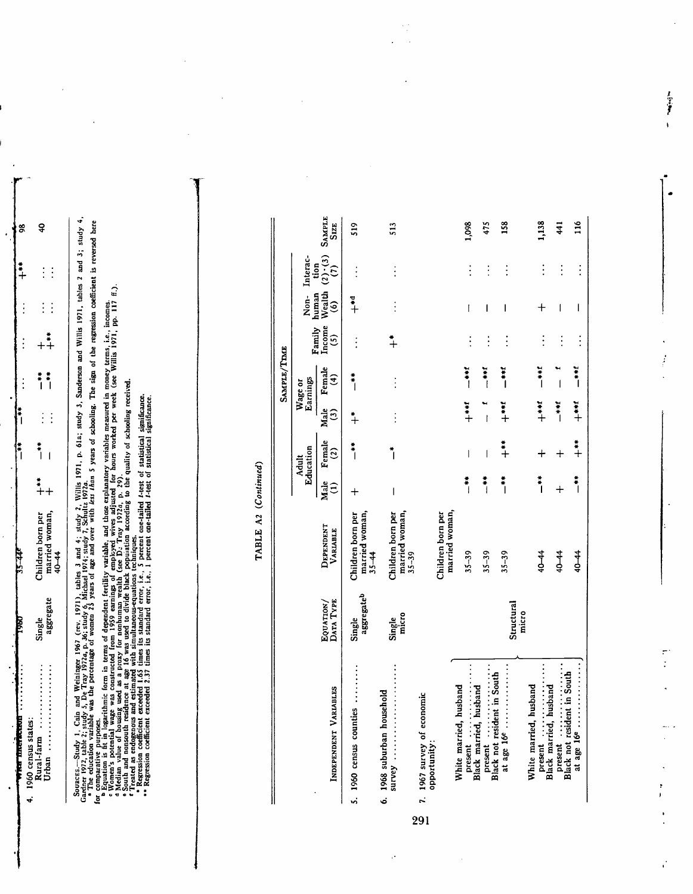|                                                             |                        |                                                  |                         |                           |                                | SAMPLE/TIME             |                               |                                       |                                                 |                       |
|-------------------------------------------------------------|------------------------|--------------------------------------------------|-------------------------|---------------------------|--------------------------------|-------------------------|-------------------------------|---------------------------------------|-------------------------------------------------|-----------------------|
|                                                             |                        |                                                  |                         | Education<br><b>Adult</b> |                                | Earnings<br>Wage or     |                               | Non-                                  | Interac-                                        |                       |
| INDEPENDENT VARIABLES                                       | EQUATION/<br>DATA TYPE | DEPENDENT<br>VARIABLE                            | Male<br>$\widehat{z}$   | Female<br>$\widehat{c}$   | Male<br>$\widehat{\mathbf{c}}$ | Female<br>$\widehat{f}$ | Income<br>Family<br>$\hat{c}$ | Wealth<br>human<br>$\hat{\mathbf{e}}$ | $(2) \cdot (3)$<br>tion<br>$\widehat{\epsilon}$ | SAMPLE<br><b>SIZE</b> |
| 5. 1960 census counties                                     | aggregateb<br>Single   | married woman,<br>Children born per<br>$35 - 44$ | $\,{}^+$                | $\frac{1}{4}$             | $\ddagger$                     | $\ddot{\ast}$           | $\vdots$                      | $\ddot{ }$                            | $\vdots$                                        | 519                   |
| 6. 1968 suburban household                                  | micro<br>Single        | married woman,<br>Children born per<br>$35 - 39$ |                         | $\ddot{1}$                |                                |                         | $\ddagger$                    | $\ddot{\cdot}$                        | $\vdots$                                        | 513                   |
| 7. 1967 survey of economic<br>opportunity:                  |                        |                                                  |                         |                           |                                |                         |                               |                                       |                                                 |                       |
|                                                             |                        | married woman,<br>Children born per              |                         |                           |                                |                         |                               |                                       |                                                 |                       |
| present<br>Black married, husband<br>White married, husband |                        | $35 - 39$                                        | $\ddot{}}$              |                           | $+$                            | in                      | $\vdots$                      |                                       |                                                 | 1,098                 |
| $\vdots$<br>present<br>Black not resident in South          |                        | $35 - 39$                                        | $\ddot{\tau}$           |                           | ₩                              | <b>Taik</b>             | $\vdots$                      |                                       | $\ddot{\cdot}$                                  | 475                   |
| at age 16 <sup>e</sup>                                      | Structural             | $35 - 39$                                        | $\ddot{\ddot{\}}$       | $\ddot{*}$                | $\ddot{*}$                     | $\ddot{=}$              | $\vdots$                      |                                       | $\ddot{\cdot}$                                  | 158                   |
| present<br>Black married, husband<br>White married, husband | micro                  | 40-44                                            | $\ddot{\ddot{\}}$       | $\ddot{}$                 | $+$                            | $-$ **f                 | $\vdots$                      | $\ddagger$                            | $\vdots$                                        | 1,138                 |
| present<br>Black not resident in South                      |                        | 40-44                                            | $\ddot{}$               | $\div$                    | $***$                          | ч                       | $\vdots$                      |                                       | $\vdots$                                        | $\ddot{4}$            |
| at age 16e                                                  |                        | 40-44                                            | $\ddot{\ddot{\text{}}}$ | $\ddot{+}$                | $+$                            | $-1$                    | $\ddot{\ddot{\cdot}}$         |                                       | $\vdots$                                        | 116                   |

291

 $\hat{\mathcal{O}}$ 

 $\ddot{\phantom{0}}$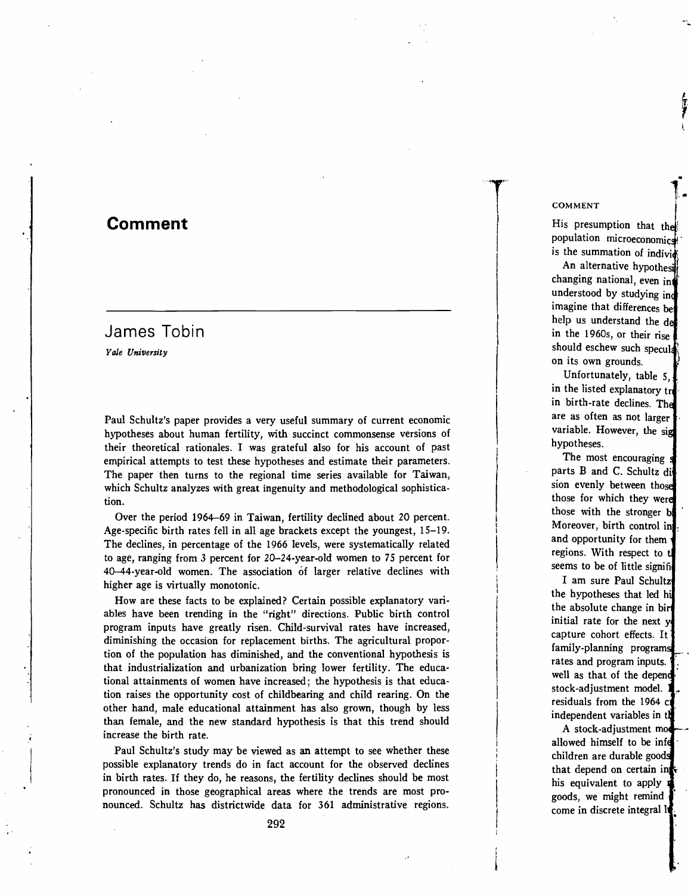# Comment

# James Tobin Yale University

Paul Schultz's paper provides a very useful summary of current economic hypotheses about human fertility, with succinct commonsense versions of their theoretical rationales. I was grateful also for his account of past empirical attempts to test these hypotheses and estimate their parameters. The paper then turns to the regional time series available for Taiwan, which Schultz analyzes with great ingenuity and methodological sophistication.

Over the period 1964—69 in Taiwan, fertility declined about 20 percent. Age-specific birth rates fell in all age brackets except the youngest, 15—19. The declines, in percentage of the 1966 levels, were systematically related to age, ranging from 3 percent for 20—24-year-old women to 75 percent for 40—44-year-old women. The association of larger relative declines with higher age is virtually monotonic.

How are these facts to be explained? Certain possible explanatory variables have been trending in the "right" directions. Public birth control program inputs have greatly risen. Child-survival rates have increased, diminishing the occasion for replacement births. The agricultural proportion of the population has diminished, and the conventional hypothesis is that industrialization and urbanization bring lower fertility. The educational attainments of women have increased; the hypothesis is that education raises the opportunity cost of childbearing and child rearing. On the other hand, male educational attainment has also grown, though by less than female, and the new standard hypothesis is that this trend should increase the birth rate.

Paul Schultz's study may be viewed as an attempt to see whether these possible explanatory trends do in fact account for the observed declines in birth rates. If they do, he reasons, the fertility declines should be most pronounced in those geographical areas where the trends are most pronounced. Schultz has districtwide data for 361 administrative regions.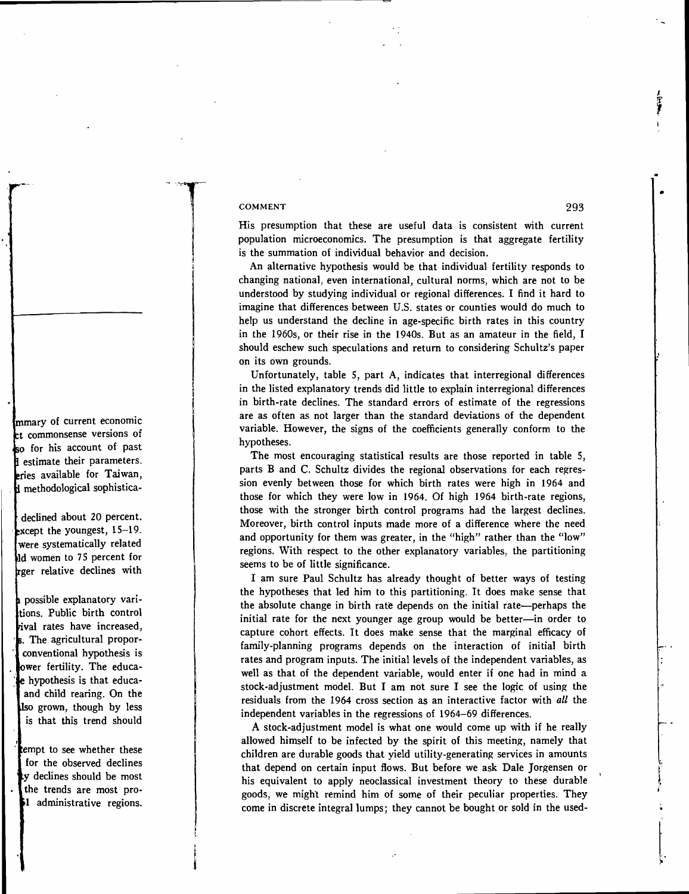# COMMENT 293

His presumption that these are useful data is consistent with current population microeconomics. The presumption is that aggregate fertility is the summation of individual behavior and decision.

An alternative hypothesis would be that individual fertility responds to changing national, even international, cultural norms, which are not to be understood by studying individual or regional differences. I find it hard to imagine that differences between U.S. states or counties would do much to help us understand the decline in age-specific birth rates in this country in the 1960s, or their rise in the 1940s. But as an amateur in the field, I should eschew such speculations and return to considering Schultz's paper on its own grounds.

Unfortunately, table 5, part A, indicates that interregional differences in the listed explanatory trends did little to explain interregional differences in birth-rate declines. The standard errors of estimate of the regressions are as often as not larger than the standard deviations of the dependent variable. However, the signs of the coefficients generally conform to the hypotheses.

The most encouraging statistical results are those reported in table 5, parts B and C. Schultz divides the regional observations for each regression evenly between those for which birth rates were high in 1964 and those for which they were low in 1964. Of high 1964 birth-rate regions, those with the stronger birth control programs had the largest declines. Moreover, birth control inputs made more of a difference where the need and opportunity for them was greater, in the "high" rather than the "low" regions. With respect to the other explanatory variables, the partitioning seems to be of little significance.

I am sure Paul Schultz has already thought of better ways of testing the hypotheses that led him to this partitioning. It does make sense that the absolute change in birth rate depends on the initial rate—perhaps the initial rate for the next younger age group would be better—in order to capture cohort effects. It does make sense that the marginal efficacy of family-planning programs depends on the interaction of initial birth rates and program inputs. The initial levels of the independent variables, as well as that of the dependent variable, would enter if one had in mind a stock-adjustment model. But I am not sure I see the logic of using the residuals from the 1964 cross section as an interactive factor with all the independent variables in the regressions of 1964—69 differences.

A stock-adjustment model is what one would come up with if he really allowed himself to be infected by the spirit of this meeting, namely that children are durable goods that yield utility-generating services in amounts that depend on certain input flows. But before we ask Dale Jorgensen or his equivalent to apply neoclassical investment theory to these durable goods, we might remind him of some of their peculiar properties. They come in discrete integral lumps; they cannot be bought or sold in the used-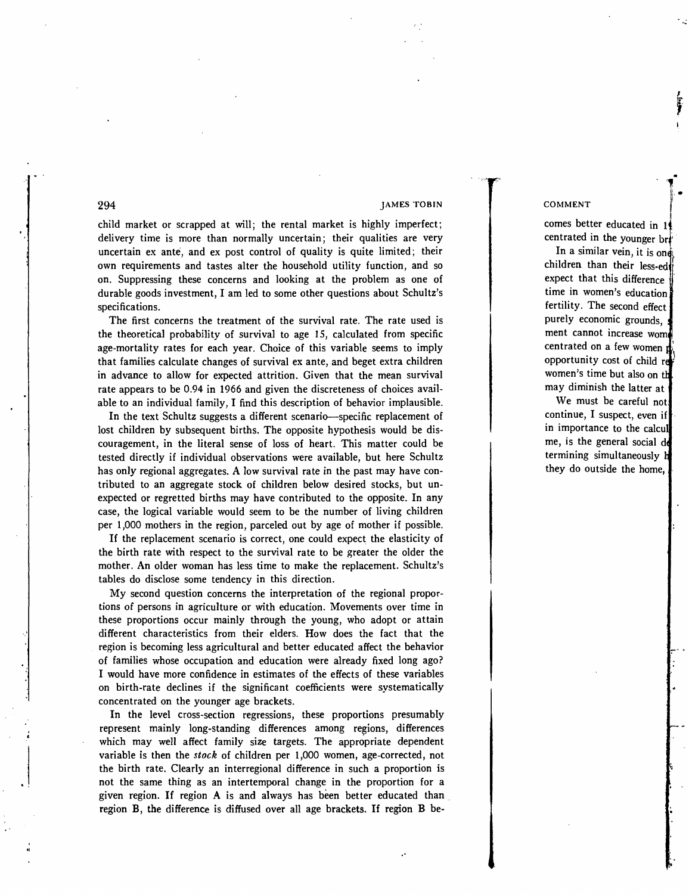$\ddot{\phantom{0}}$ 

child market or scrapped at will; the rental market is highly imperfect; delivery time is more than normally uncertain; their qualities are very uncertain cx ante, and ex post control of quality is quite limited; their own requirements and tastes alter the household utility function, and so on. Suppressing these concerns and looking at the problem as one of durable goods investment, I am led to some other questions about Schultz's specifications.

The first concerns the treatment of the survival rate. The rate used is the theoretical probability of survival to age 15, calculated from specific age-mortality rates for each year. Choice of this variable seems to imply that families calculate changes of survival cx ante, and beget extra children in advance to allow for expected attrition. Given that the mean survival rate appears to be 0.94 in 1966 and given the discreteness of choices available to an individual family, I find this description of behavior implausible.

In the text Schultz suggests a different scenario—specific replacement of lost children by subsequent births. The opposite hypothesis would be discouragement, in the literal sense of loss of heart. This matter could be tested directly if individual observations were available, but here Schultz has only regional aggregates. A low survival rate in the past may have contributed to an aggregate stock of children below desired stocks, but unexpected or regretted births may have contributed to the opposite. In any case, the logical variable would seem to be the number of living children per 1,000 mothers in the region, parceled out by age of mother if possible.

If the replacement scenario is correct, one could expect the elasticity of the birth rate with respect to the survival rate to be greater the older the mother. An older woman has less time to make the replacement. Schultz's tables do disclose some tendency in this direction.

My second question concerns the interpretation of the regional proportions of persons in agriculture or with education. Movements over time in these proportions occur mainly through the young, who adopt or attain different characteristics from their elders. How does the fact that the region is becoming less agricultural and better educated affect the behavior of families whose occupation and education were already fixed long ago? I would have more confidence in estimates of the effects of these variables on birth-rate declines if the significant coefficients were systematically concentrated on the younger age brackets.

In the level cross-section regressions, these proportions presumably represent mainly long-standing differences among regions, differences which may well affect family size targets. The appropriate dependent variable is then the stock of children per 1,000 women, age-corrected, not the birth rate. Clearly an interregional difference in such a proportion is not the same thing as an intertemporal change in the proportion for a given region. If region A is and always has been better educated than region B, the difference is diffused over all age brackets. If region B be-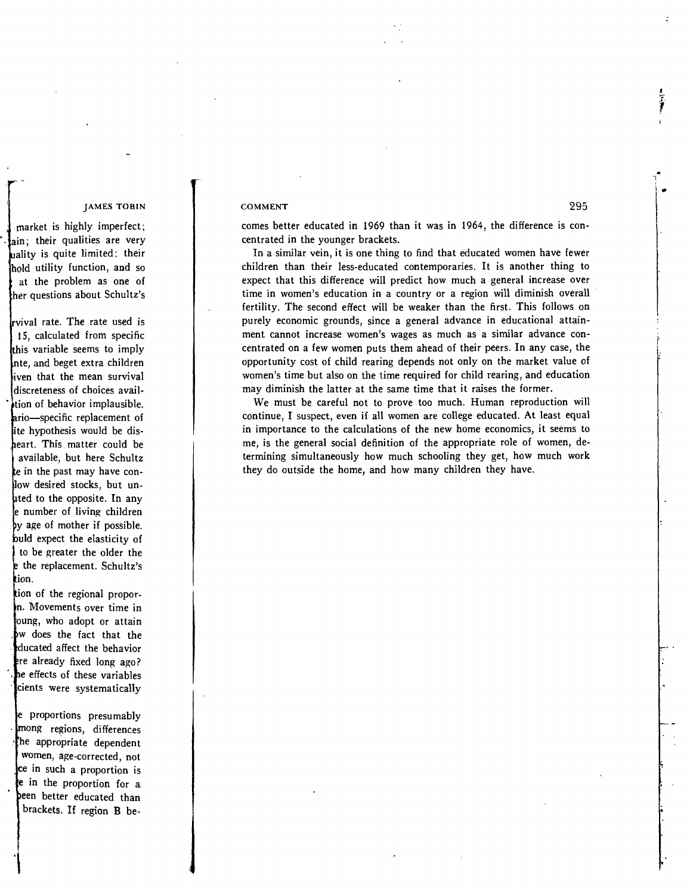# $COMMENT$  295

comes better educated in 1969 than it was in 1964, the difference is concentrated in the younger brackets.

In a similar vein, it is one thing to find that educated women have fewer children than their less-educated contemporaries. It is another thing to expect that this difference will predict how much a general increase over time in women's education in a country or a region will diminish overall fertility. The second effect will be weaker than the first. This follows on purely economic grounds, since a general advance in educational attainment cannot increase women's wages as much as a similar advance concentrated on a few women puts them ahead of their peers. In any case, the opportunity cost of child rearing depends not only on the market value of women's time but also on the time required for child rearing, and education may diminish the latter at the same time that it raises the former.

We must be careful not to prove too much. Human reproduction will continue, I suspect, even if all women are college educated. At least equal in importance to the calculations of the new home economics, it seems to me, is the general social definition of the appropriate role of women, determining simultaneously how much schooling they get, how much work they do outside the home, and how many children they have.